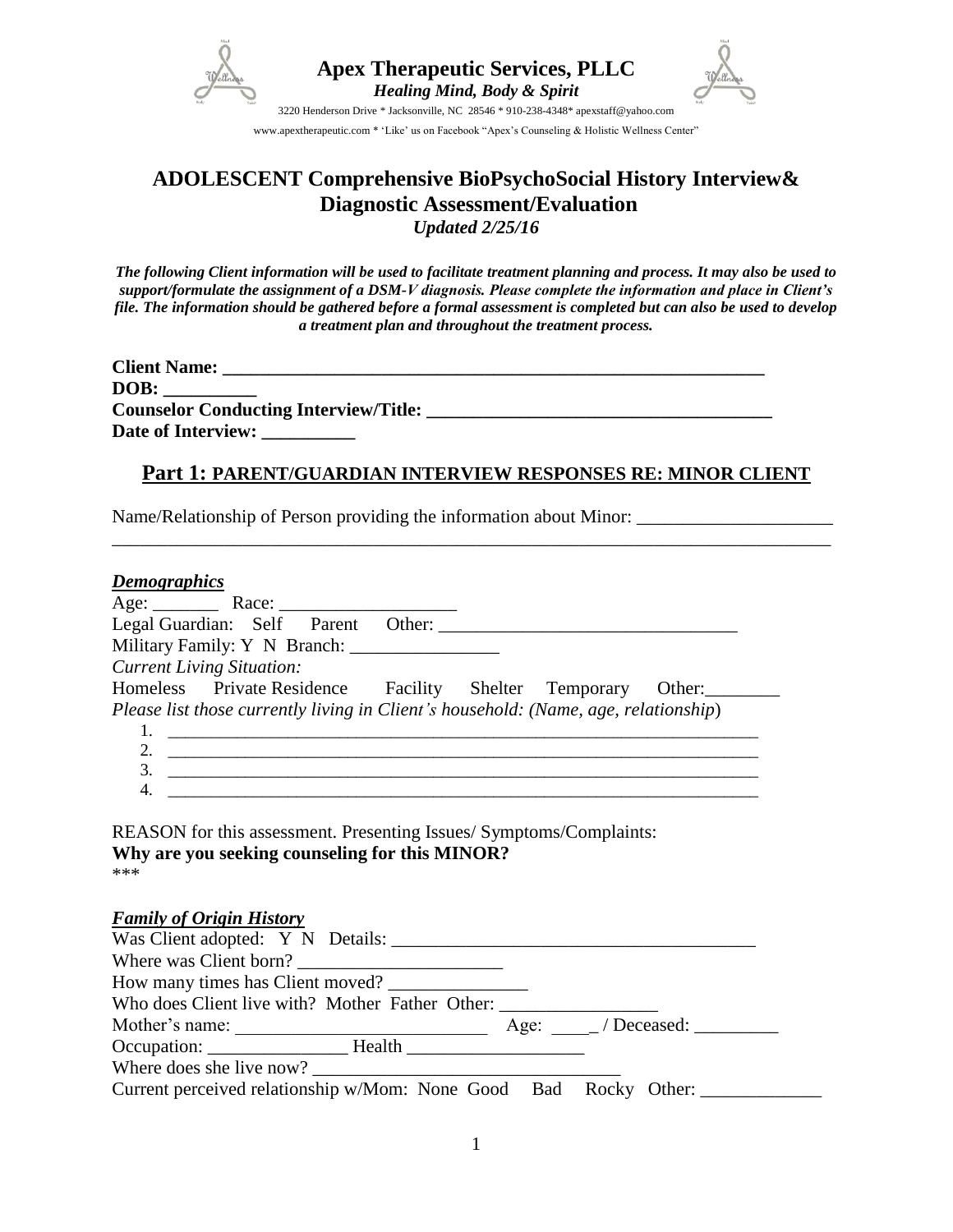



3220 Henderson Drive \* Jacksonville, NC 28546 \* 910-238-4348\* apexstaff@yahoo.com www.apextherapeutic.com \* 'Like' us on Facebook "Apex's Counseling & Holistic Wellness Center"

# **ADOLESCENT Comprehensive BioPsychoSocial History Interview& Diagnostic Assessment/Evaluation**

*Updated 2/25/16*

*The following Client information will be used to facilitate treatment planning and process. It may also be used to support/formulate the assignment of a DSM-V diagnosis. Please complete the information and place in Client's file. The information should be gathered before a formal assessment is completed but can also be used to develop a treatment plan and throughout the treatment process.*

**Client Name: \_\_\_\_\_\_\_\_\_\_\_\_\_\_\_\_\_\_\_\_\_\_\_\_\_\_\_\_\_\_\_\_\_\_\_\_\_\_\_\_\_\_\_\_\_\_\_\_\_\_\_\_\_\_\_\_\_\_ DOB: \_\_\_\_\_\_\_\_\_\_ Counselor Conducting Interview/Title: \_\_\_\_\_\_\_\_\_\_\_\_\_\_\_\_\_\_\_\_\_\_\_\_\_\_\_\_\_\_\_\_\_\_\_\_\_** Date of Interview:

### **Part 1: PARENT/GUARDIAN INTERVIEW RESPONSES RE: MINOR CLIENT**

\_\_\_\_\_\_\_\_\_\_\_\_\_\_\_\_\_\_\_\_\_\_\_\_\_\_\_\_\_\_\_\_\_\_\_\_\_\_\_\_\_\_\_\_\_\_\_\_\_\_\_\_\_\_\_\_\_\_\_\_\_\_\_\_\_\_\_\_\_\_\_\_\_\_\_\_\_

Name/Relationship of Person providing the information about Minor: \_\_\_\_\_\_\_\_\_\_\_\_\_\_\_\_\_\_\_\_\_

| <b>Demographics</b> |                                                       |  |                                                                                     |               |
|---------------------|-------------------------------------------------------|--|-------------------------------------------------------------------------------------|---------------|
|                     | Age: Race:                                            |  |                                                                                     |               |
|                     | Legal Guardian: Self Parent                           |  |                                                                                     |               |
|                     |                                                       |  |                                                                                     |               |
|                     | <b>Current Living Situation:</b>                      |  |                                                                                     |               |
|                     | Homeless Private Residence Facility Shelter Temporary |  |                                                                                     | Other: $\_\_$ |
|                     |                                                       |  | Please list those currently living in Client's household: (Name, age, relationship) |               |
|                     |                                                       |  |                                                                                     |               |
| 2.                  |                                                       |  |                                                                                     |               |
| 3.                  |                                                       |  |                                                                                     |               |
| 4.                  |                                                       |  |                                                                                     |               |

REASON for this assessment. Presenting Issues/ Symptoms/Complaints: **Why are you seeking counseling for this MINOR?** \*\*\*

#### *Family of Origin History*

| Where was Client born?                                                            |                                              |
|-----------------------------------------------------------------------------------|----------------------------------------------|
| How many times has Client moved?                                                  |                                              |
| Who does Client live with? Mother Father Other: _________________________________ |                                              |
| Mother's name:                                                                    | Age: $\qquad \qquad \angle$ Deceased: ______ |
| Occupation: Health                                                                |                                              |
|                                                                                   |                                              |
| Current perceived relationship w/Mom: None Good Bad Rocky Other:                  |                                              |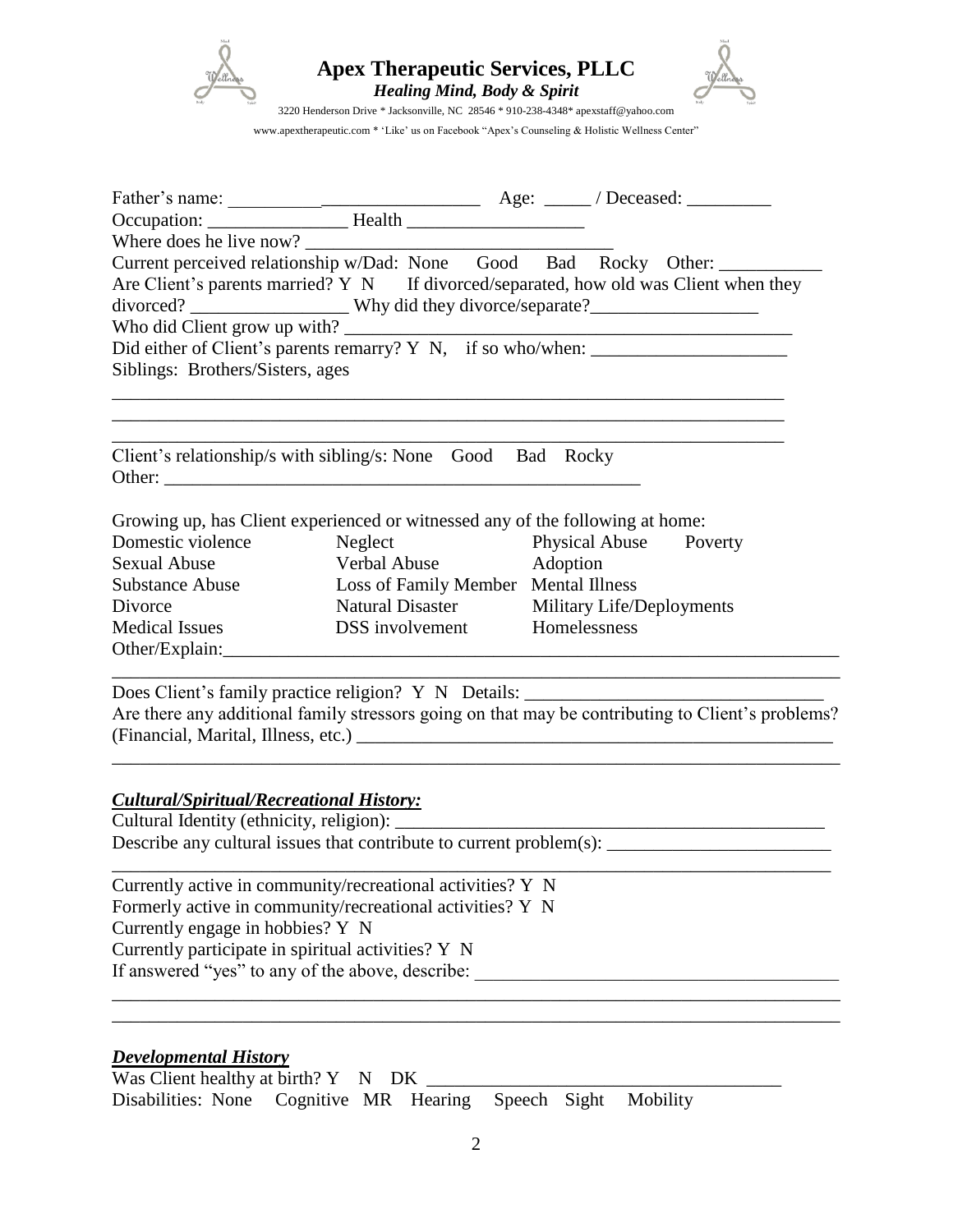

|  | www.apextherapeutic.com * 'Like' us on Facebook "Apex's Counseling & Holistic Wellness Center" |  |  |  |  |  |  |
|--|------------------------------------------------------------------------------------------------|--|--|--|--|--|--|
|  |                                                                                                |  |  |  |  |  |  |

|                                                                                   |                                            | Current perceived relationship w/Dad: None Good Bad Rocky Other:                                           |
|-----------------------------------------------------------------------------------|--------------------------------------------|------------------------------------------------------------------------------------------------------------|
|                                                                                   |                                            | Are Client's parents married? Y N If divorced/separated, how old was Client when they                      |
|                                                                                   |                                            |                                                                                                            |
|                                                                                   |                                            |                                                                                                            |
|                                                                                   |                                            | Who did Client grow up with? $\Box$<br>Did either of Client's parents remarry? Y N, if so who/when: $\Box$ |
| Siblings: Brothers/Sisters, ages                                                  |                                            |                                                                                                            |
|                                                                                   |                                            |                                                                                                            |
| Client's relationship/s with sibling/s: None Good Bad Rocky                       |                                            |                                                                                                            |
|                                                                                   |                                            |                                                                                                            |
| Growing up, has Client experienced or witnessed any of the following at home:     |                                            |                                                                                                            |
| Domestic violence                                                                 | Neglect                                    | <b>Physical Abuse Poverty</b>                                                                              |
| <b>Sexual Abuse</b>                                                               | Verbal Abuse Adoption                      |                                                                                                            |
| <b>Substance Abuse</b>                                                            | Loss of Family Member Mental Illness       |                                                                                                            |
| Divorce                                                                           | Natural Disaster Military Life/Deployments |                                                                                                            |
| <b>Medical Issues</b><br>Other/Explain:                                           | DSS involvement Homelessness               |                                                                                                            |
| Does Client's family practice religion? Y N Details: ____________________________ |                                            |                                                                                                            |
|                                                                                   |                                            | Are there any additional family stressors going on that may be contributing to Client's problems?          |
| <b>Cultural/Spiritual/Recreational History:</b>                                   |                                            |                                                                                                            |
|                                                                                   |                                            |                                                                                                            |
|                                                                                   |                                            | Describe any cultural issues that contribute to current problem(s): ________________________________       |
|                                                                                   |                                            |                                                                                                            |
| Currently active in community/recreational activities? Y N                        |                                            |                                                                                                            |
| Formerly active in community/recreational activities? Y N                         |                                            |                                                                                                            |
| Currently engage in hobbies? Y N                                                  |                                            |                                                                                                            |
| Currently participate in spiritual activities? Y N                                |                                            |                                                                                                            |
| If answered "yes" to any of the above, describe:                                  |                                            |                                                                                                            |
|                                                                                   |                                            |                                                                                                            |

### *Developmental History*

| Was Client healthy at birth? $Y \times DY$ N DK               |  |  |  |  |
|---------------------------------------------------------------|--|--|--|--|
| Disabilities: None Cognitive MR Hearing Speech Sight Mobility |  |  |  |  |

\_\_\_\_\_\_\_\_\_\_\_\_\_\_\_\_\_\_\_\_\_\_\_\_\_\_\_\_\_\_\_\_\_\_\_\_\_\_\_\_\_\_\_\_\_\_\_\_\_\_\_\_\_\_\_\_\_\_\_\_\_\_\_\_\_\_\_\_\_\_\_\_\_\_\_\_\_\_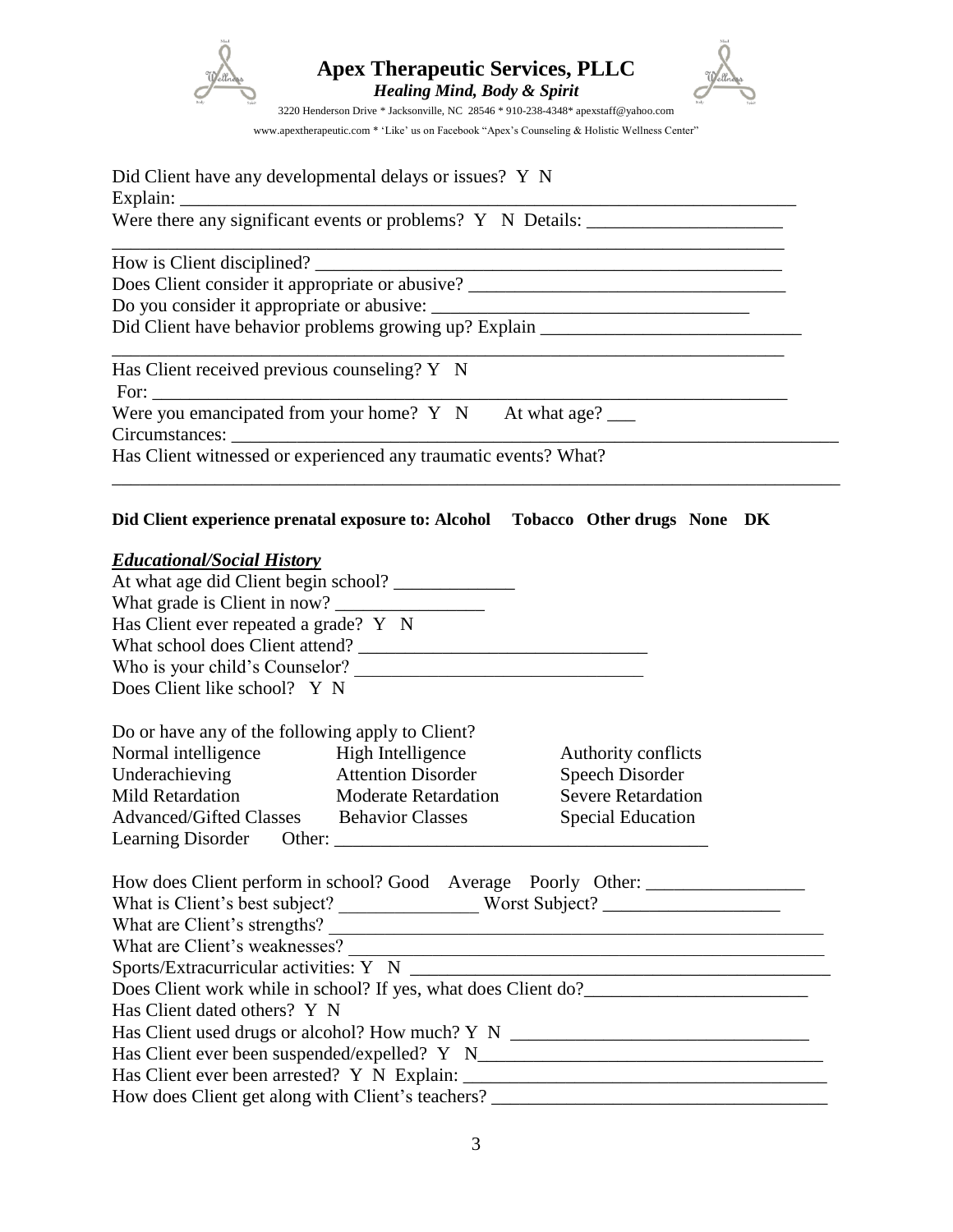

| www.apextherapeutic.com * 'Like' us on Facebook "Apex's Counseling & Holistic Wellness Center" |  |  |
|------------------------------------------------------------------------------------------------|--|--|
|                                                                                                |  |  |

| Did Client have any developmental delays or issues? Y N                                                                                                                                                                                                                                                                                                                                                                                                       |
|---------------------------------------------------------------------------------------------------------------------------------------------------------------------------------------------------------------------------------------------------------------------------------------------------------------------------------------------------------------------------------------------------------------------------------------------------------------|
|                                                                                                                                                                                                                                                                                                                                                                                                                                                               |
|                                                                                                                                                                                                                                                                                                                                                                                                                                                               |
|                                                                                                                                                                                                                                                                                                                                                                                                                                                               |
| Does Client consider it appropriate or abusive? _________________________________                                                                                                                                                                                                                                                                                                                                                                             |
|                                                                                                                                                                                                                                                                                                                                                                                                                                                               |
| Did Client have behavior problems growing up? Explain __________________________                                                                                                                                                                                                                                                                                                                                                                              |
| Has Client received previous counseling? Y N<br>For: $\frac{1}{\sqrt{1-\frac{1}{2}}\sqrt{1-\frac{1}{2}}\sqrt{1-\frac{1}{2}}\sqrt{1-\frac{1}{2}}\sqrt{1-\frac{1}{2}}\sqrt{1-\frac{1}{2}}\sqrt{1-\frac{1}{2}}\sqrt{1-\frac{1}{2}}\sqrt{1-\frac{1}{2}}\sqrt{1-\frac{1}{2}}\sqrt{1-\frac{1}{2}}\sqrt{1-\frac{1}{2}}\sqrt{1-\frac{1}{2}}\sqrt{1-\frac{1}{2}}\sqrt{1-\frac{1}{2}}\sqrt{1-\frac{1}{2}}\sqrt{1-\frac{1}{2}}\sqrt{1-\frac{1}{2}}\sqrt{1-\frac{1}{2}}\$ |
| Were you emancipated from your home? $Y \ N$ At what age?                                                                                                                                                                                                                                                                                                                                                                                                     |
| Has Client witnessed or experienced any traumatic events? What?                                                                                                                                                                                                                                                                                                                                                                                               |

### **Did Client experience prenatal exposure to: Alcohol Tobacco Other drugs None DK**

### *Educational/Social History*

|                                                          | Has Client ever repeated a grade? Y N |                                                                                   |  |  |  |  |  |  |
|----------------------------------------------------------|---------------------------------------|-----------------------------------------------------------------------------------|--|--|--|--|--|--|
|                                                          |                                       |                                                                                   |  |  |  |  |  |  |
|                                                          | Who is your child's Counselor?        |                                                                                   |  |  |  |  |  |  |
| Does Client like school? Y N                             |                                       |                                                                                   |  |  |  |  |  |  |
| Do or have any of the following apply to Client?         |                                       |                                                                                   |  |  |  |  |  |  |
| Normal intelligence High Intelligence                    |                                       | Authority conflicts                                                               |  |  |  |  |  |  |
|                                                          | Underachieving Attention Disorder     | Speech Disorder                                                                   |  |  |  |  |  |  |
| Mild Retardation Moderate Retardation Severe Retardation |                                       |                                                                                   |  |  |  |  |  |  |
| Advanced/Gifted Classes Behavior Classes                 | <b>Special Education</b>              |                                                                                   |  |  |  |  |  |  |
|                                                          |                                       |                                                                                   |  |  |  |  |  |  |
|                                                          |                                       | How does Client perform in school? Good Average Poorly Other: __________________  |  |  |  |  |  |  |
|                                                          |                                       |                                                                                   |  |  |  |  |  |  |
|                                                          |                                       |                                                                                   |  |  |  |  |  |  |
|                                                          |                                       |                                                                                   |  |  |  |  |  |  |
|                                                          |                                       |                                                                                   |  |  |  |  |  |  |
|                                                          |                                       |                                                                                   |  |  |  |  |  |  |
|                                                          |                                       |                                                                                   |  |  |  |  |  |  |
| Has Client dated others? Y N                             |                                       |                                                                                   |  |  |  |  |  |  |
|                                                          |                                       | Has Client used drugs or alcohol? How much? Y N _________________________________ |  |  |  |  |  |  |
|                                                          |                                       |                                                                                   |  |  |  |  |  |  |
|                                                          |                                       |                                                                                   |  |  |  |  |  |  |
|                                                          |                                       |                                                                                   |  |  |  |  |  |  |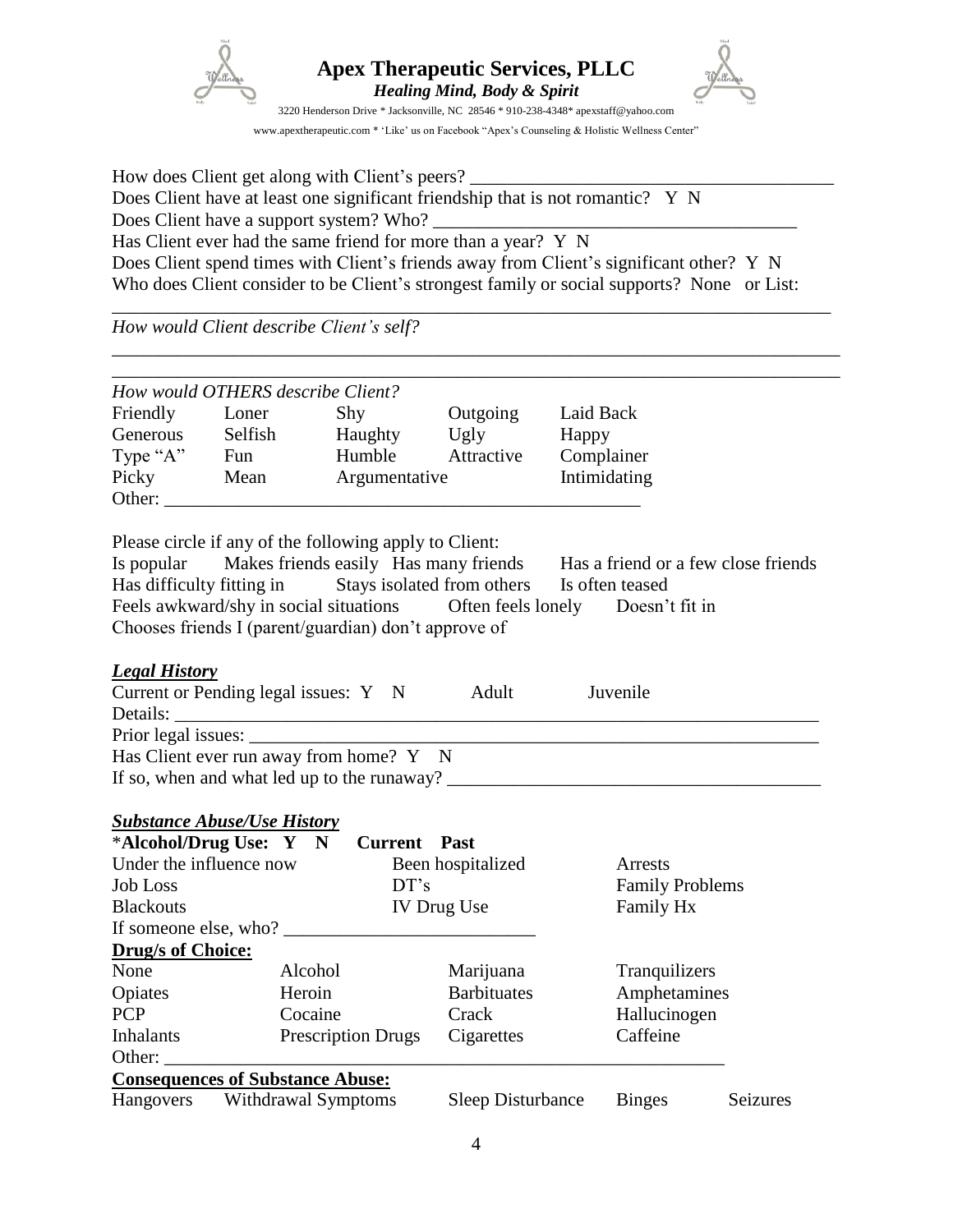

How does Client get along with Client's peers? Does Client have at least one significant friendship that is not romantic? Y N Does Client have a support system? Who? Has Client ever had the same friend for more than a year? Y N Does Client spend times with Client's friends away from Client's significant other? Y N Who does Client consider to be Client's strongest family or social supports? None or List: \_\_\_\_\_\_\_\_\_\_\_\_\_\_\_\_\_\_\_\_\_\_\_\_\_\_\_\_\_\_\_\_\_\_\_\_\_\_\_\_\_\_\_\_\_\_\_\_\_\_\_\_\_\_\_\_\_\_\_\_\_\_\_\_\_\_\_\_\_\_\_\_\_\_\_\_\_

\_\_\_\_\_\_\_\_\_\_\_\_\_\_\_\_\_\_\_\_\_\_\_\_\_\_\_\_\_\_\_\_\_\_\_\_\_\_\_\_\_\_\_\_\_\_\_\_\_\_\_\_\_\_\_\_\_\_\_\_\_\_\_\_\_\_\_\_\_\_\_\_\_\_\_\_\_\_

*How would Client describe Client's self?*

|                          | How would OTHERS describe Client?                      |      |                    |                                                                                      |
|--------------------------|--------------------------------------------------------|------|--------------------|--------------------------------------------------------------------------------------|
|                          | Friendly Loner                                         | Shy  | Outgoing           | Laid Back                                                                            |
|                          | Generous Selfish Haughty Ugly                          |      |                    | Happy                                                                                |
|                          | Type "A" Fun                                           |      | Humble Attractive  | Complainer                                                                           |
|                          | Picky Mean Argumentative                               |      |                    | Intimidating                                                                         |
|                          | Other:                                                 |      |                    |                                                                                      |
|                          |                                                        |      |                    |                                                                                      |
|                          | Please circle if any of the following apply to Client: |      |                    |                                                                                      |
|                          |                                                        |      |                    | Is popular Makes friends easily Has many friends Has a friend or a few close friends |
|                          |                                                        |      |                    | Has difficulty fitting in Stays isolated from others Is often teased                 |
|                          |                                                        |      |                    | Feels awkward/shy in social situations Often feels lonely Doesn't fit in             |
|                          | Chooses friends I (parent/guardian) don't approve of   |      |                    |                                                                                      |
|                          |                                                        |      |                    |                                                                                      |
| <b>Legal History</b>     |                                                        |      |                    |                                                                                      |
|                          | Current or Pending legal issues: Y N Adult             |      |                    | Juvenile                                                                             |
|                          |                                                        |      |                    |                                                                                      |
|                          |                                                        |      |                    |                                                                                      |
|                          | Has Client ever run away from home? Y N                |      |                    |                                                                                      |
|                          |                                                        |      |                    |                                                                                      |
|                          |                                                        |      |                    |                                                                                      |
|                          | <b>Substance Abuse/Use History</b>                     |      |                    |                                                                                      |
|                          | *Alcohol/Drug Use: Y N Current Past                    |      |                    |                                                                                      |
|                          | Under the influence now                                |      | Been hospitalized  | Arrests                                                                              |
| <b>Job Loss</b>          |                                                        | DT's |                    | <b>Family Problems</b>                                                               |
| <b>Blackouts</b>         |                                                        |      | IV Drug Use        | Family Hx                                                                            |
|                          |                                                        |      |                    |                                                                                      |
| <b>Drug/s of Choice:</b> |                                                        |      |                    |                                                                                      |
| None                     | Alcohol                                                |      | Marijuana          | Tranquilizers                                                                        |
| Opiates                  | Heroin                                                 |      | <b>Barbituates</b> | Amphetamines                                                                         |
| <b>PCP</b>               | Cocaine                                                |      | Crack              | Hallucinogen                                                                         |

Inhalants Prescription Drugs Cigarettes Caffeine Other: \_\_\_\_\_\_\_\_\_\_\_\_\_\_\_\_\_\_\_\_\_\_\_\_\_\_\_\_\_\_\_\_\_\_\_\_\_\_\_\_\_\_\_\_\_\_\_\_\_\_\_\_\_\_\_\_\_\_\_\_ **Consequences of Substance Abuse:** Hangovers Withdrawal Symptoms Sleep Disturbance Binges Seizures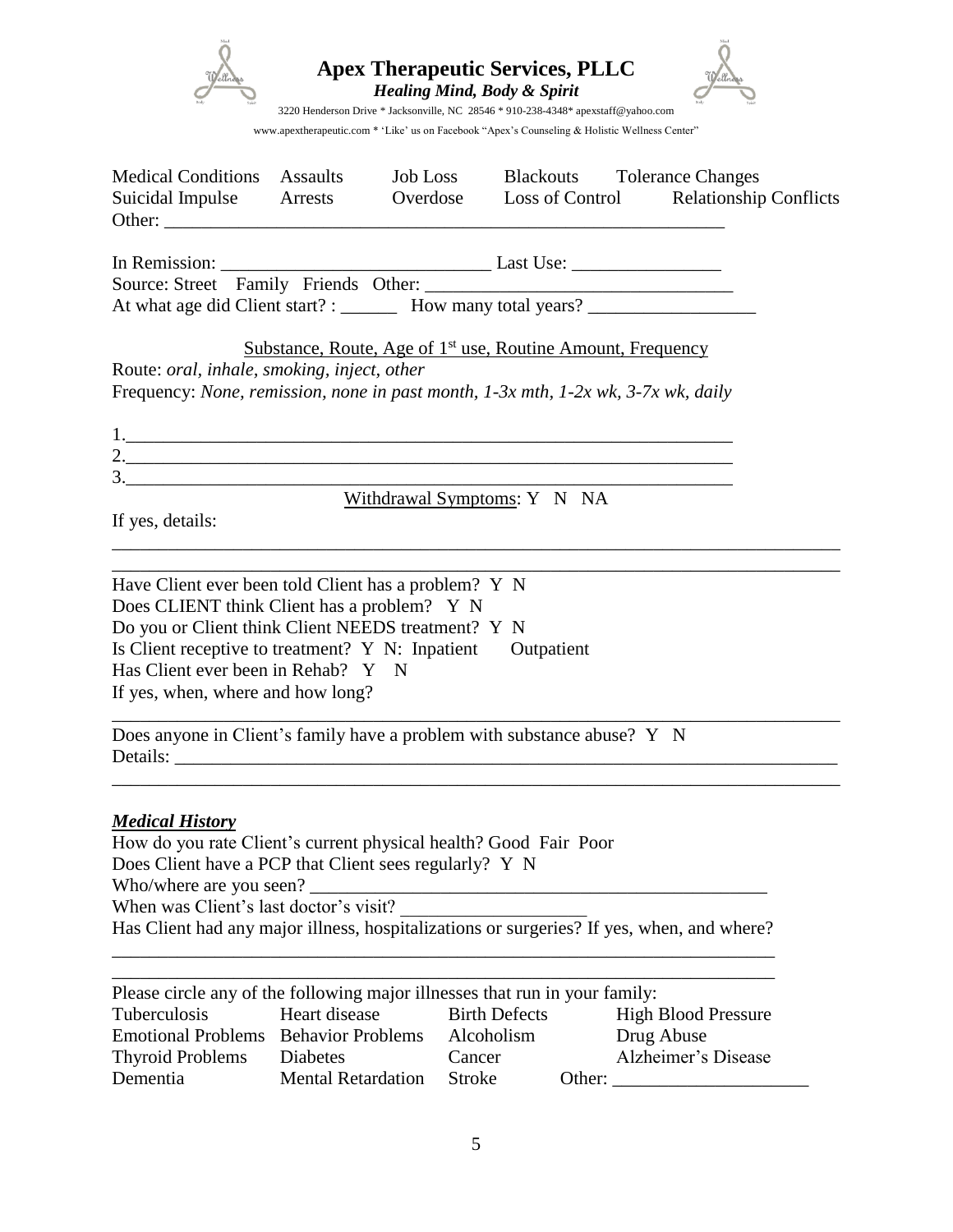



3220 Henderson Drive \* Jacksonville, NC 28546 \* 910-238-4348\* apexstaff@yahoo.com www.apextherapeutic.com \* 'Like' us on Facebook "Apex's Counseling & Holistic Wellness Center"

|                                                                                             | Medical Conditions Assaults Job Loss<br>Suicidal Impulse Arrests Overdose                                                                                                                                     |                                    | <b>Blackouts</b> Tolerance Changes<br>Loss of Control Relationship Conflicts              |  |
|---------------------------------------------------------------------------------------------|---------------------------------------------------------------------------------------------------------------------------------------------------------------------------------------------------------------|------------------------------------|-------------------------------------------------------------------------------------------|--|
|                                                                                             |                                                                                                                                                                                                               |                                    |                                                                                           |  |
|                                                                                             |                                                                                                                                                                                                               |                                    |                                                                                           |  |
|                                                                                             | Substance, Route, Age of 1 <sup>st</sup> use, Routine Amount, Frequency                                                                                                                                       |                                    |                                                                                           |  |
| Route: oral, inhale, smoking, inject, other                                                 | Frequency: None, remission, none in past month, 1-3x mth, 1-2x wk, 3-7x wk, daily                                                                                                                             |                                    |                                                                                           |  |
|                                                                                             | 1.                                                                                                                                                                                                            |                                    |                                                                                           |  |
|                                                                                             | 2.                                                                                                                                                                                                            |                                    |                                                                                           |  |
| If yes, details:                                                                            |                                                                                                                                                                                                               | Withdrawal Symptoms: Y N NA        |                                                                                           |  |
|                                                                                             |                                                                                                                                                                                                               |                                    |                                                                                           |  |
| Has Client ever been in Rehab? Y N<br>If yes, when, where and how long?                     | Have Client ever been told Client has a problem? Y N<br>Does CLIENT think Client has a problem? Y N<br>Do you or Client think Client NEEDS treatment? Y N<br>Is Client receptive to treatment? Y N: Inpatient | Outpatient                         |                                                                                           |  |
|                                                                                             | Does anyone in Client's family have a problem with substance abuse? Y N                                                                                                                                       |                                    |                                                                                           |  |
| <b>Medical History</b><br>Who/where are you seen?<br>When was Client's last doctor's visit? | How do you rate Client's current physical health? Good Fair Poor<br>Does Client have a PCP that Client sees regularly? Y N                                                                                    |                                    | Has Client had any major illness, hospitalizations or surgeries? If yes, when, and where? |  |
|                                                                                             |                                                                                                                                                                                                               |                                    |                                                                                           |  |
| Tuberculosis<br><b>Emotional Problems</b> Behavior Problems                                 | Please circle any of the following major illnesses that run in your family:<br>Heart disease                                                                                                                  | <b>Birth Defects</b><br>Alcoholism | <b>High Blood Pressure</b><br>Drug Abuse                                                  |  |
| <b>Thyroid Problems</b><br>Dementia                                                         | <b>Diabetes</b><br><b>Mental Retardation</b>                                                                                                                                                                  | Cancer<br>Stroke<br>Other:         | Alzheimer's Disease                                                                       |  |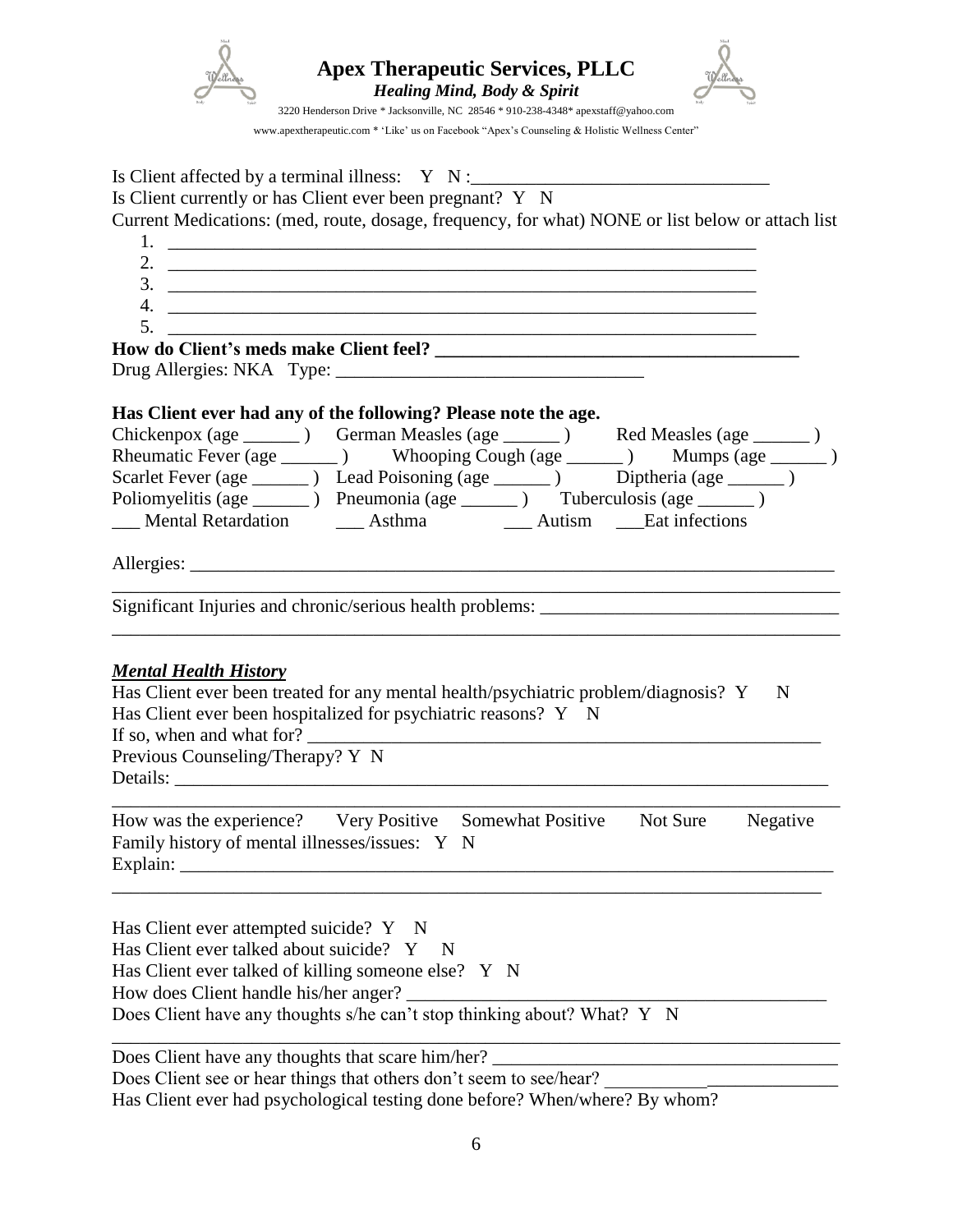

www.apextherapeutic.com \* 'Like' us on Facebook "Apex's Counseling & Holistic Wellness Center"

| Is Client currently or has Client ever been pregnant? Y N                                                                                                                                                                                                      |
|----------------------------------------------------------------------------------------------------------------------------------------------------------------------------------------------------------------------------------------------------------------|
| Current Medications: (med, route, dosage, frequency, for what) NONE or list below or attach list                                                                                                                                                               |
|                                                                                                                                                                                                                                                                |
|                                                                                                                                                                                                                                                                |
| $\frac{3}{2}$                                                                                                                                                                                                                                                  |
|                                                                                                                                                                                                                                                                |
| 5.<br><u> 1990 - Johann Barbert, martin de francez (h. 1982).</u>                                                                                                                                                                                              |
|                                                                                                                                                                                                                                                                |
| Has Client ever had any of the following? Please note the age.                                                                                                                                                                                                 |
| Chickenpox (age _______) German Measles (age ______) Red Measles (age ______)                                                                                                                                                                                  |
| Rheumatic Fever (age ________) Whooping Cough (age _______) Mumps (age _______)                                                                                                                                                                                |
| Scarlet Fever (age ________ ) Lead Poisoning (age _______ ) Diptheria (age ______ )                                                                                                                                                                            |
| Poliomyelitis (age ________ ) Pneumonia (age ______ ) Tuberculosis (age ______ )                                                                                                                                                                               |
| __ Mental Retardation ______ Asthma _________ Autism _____ Eat infections                                                                                                                                                                                      |
|                                                                                                                                                                                                                                                                |
|                                                                                                                                                                                                                                                                |
| <b>Mental Health History</b><br>Has Client ever been treated for any mental health/psychiatric problem/diagnosis? Y<br>N<br>Has Client ever been hospitalized for psychiatric reasons? Y N<br>If so, when and what for?                                        |
| Previous Counseling/Therapy? Y N                                                                                                                                                                                                                               |
|                                                                                                                                                                                                                                                                |
| How was the experience? Very Positive Somewhat Positive<br>Negative<br>Not Sure<br>Family history of mental illnesses/issues: Y N                                                                                                                              |
| Has Client ever attempted suicide? Y N<br>Has Client ever talked about suicide? Y N<br>Has Client ever talked of killing someone else? Y N<br>How does Client handle his/her anger?<br>Does Client have any thoughts s/he can't stop thinking about? What? Y N |
| Does Client have any thoughts that scare him/her?                                                                                                                                                                                                              |
| Does Client see or hear things that others don't seem to see/hear?                                                                                                                                                                                             |
| Has Client ever had psychological testing done before? When/where? By whom?                                                                                                                                                                                    |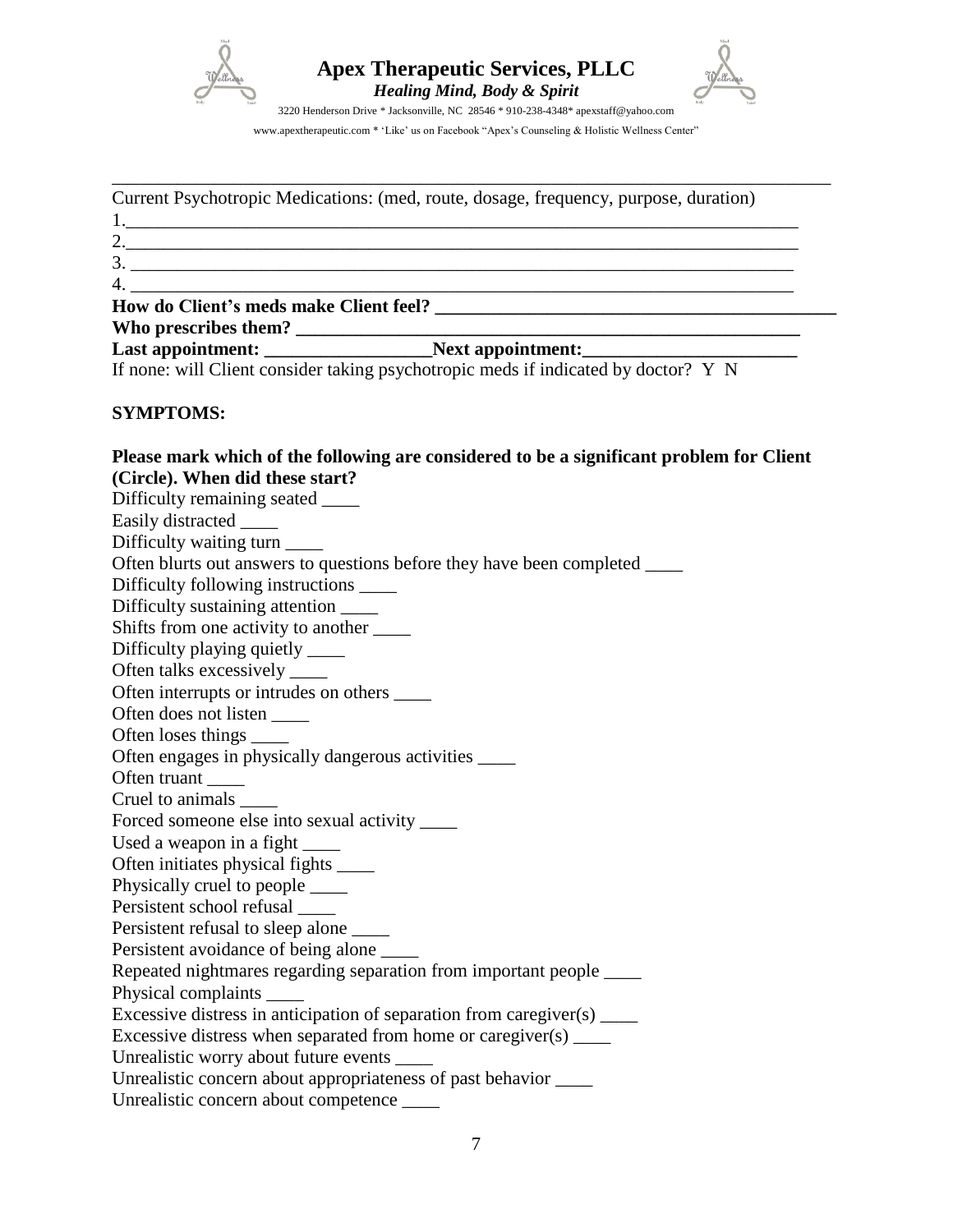

www.apextherapeutic.com \* 'Like' us on Facebook "Apex's Counseling & Holistic Wellness Center"

\_\_\_\_\_\_\_\_\_\_\_\_\_\_\_\_\_\_\_\_\_\_\_\_\_\_\_\_\_\_\_\_\_\_\_\_\_\_\_\_\_\_\_\_\_\_\_\_\_\_\_\_\_\_\_\_\_\_\_\_\_\_\_\_\_\_\_\_\_\_\_\_\_\_\_\_\_

| Current Psychotropic Medications: (med, route, dosage, frequency, purpose, duration)     |
|------------------------------------------------------------------------------------------|
|                                                                                          |
|                                                                                          |
| $\frac{3}{2}$                                                                            |
|                                                                                          |
|                                                                                          |
|                                                                                          |
|                                                                                          |
| If none: will Client consider taking psychotropic meds if indicated by doctor? Y N       |
| <b>SYMPTOMS:</b>                                                                         |
| Please mark which of the following are considered to be a significant problem for Client |
| (Circle). When did these start?                                                          |
| Difficulty remaining seated ______                                                       |
| Easily distracted ______                                                                 |
| Difficulty waiting turn _______                                                          |
| Often blurts out answers to questions before they have been completed ____               |
| Difficulty following instructions _______                                                |
| Difficulty sustaining attention _______                                                  |
| Shifts from one activity to another ______                                               |
| Difficulty playing quietly ______                                                        |
| Often talks excessively _____                                                            |
| Often interrupts or intrudes on others ______                                            |
| Often does not listen _____                                                              |
| Often loses things ______                                                                |
| Often engages in physically dangerous activities ____                                    |
| Often truant                                                                             |
| Cruel to animals                                                                         |
| Forced someone else into sexual activity ______                                          |
| Used a weapon in a fight ______                                                          |
| Often initiates physical fights _______                                                  |
| Physically cruel to people _____                                                         |
| Persistent school refusal                                                                |
| Persistent refusal to sleep alone _______                                                |
| Persistent avoidance of being alone __                                                   |
| Repeated nightmares regarding separation from important people _____                     |
| Physical complaints                                                                      |
| Excessive distress in anticipation of separation from caregiver(s) _____                 |
| Excessive distress when separated from home or caregiver(s) $\frac{ }{ }$                |
| Unrealistic worry about future events _____                                              |
| Unrealistic concern about appropriateness of past behavior _____                         |
| Unrealistic concern about competence _____                                               |
|                                                                                          |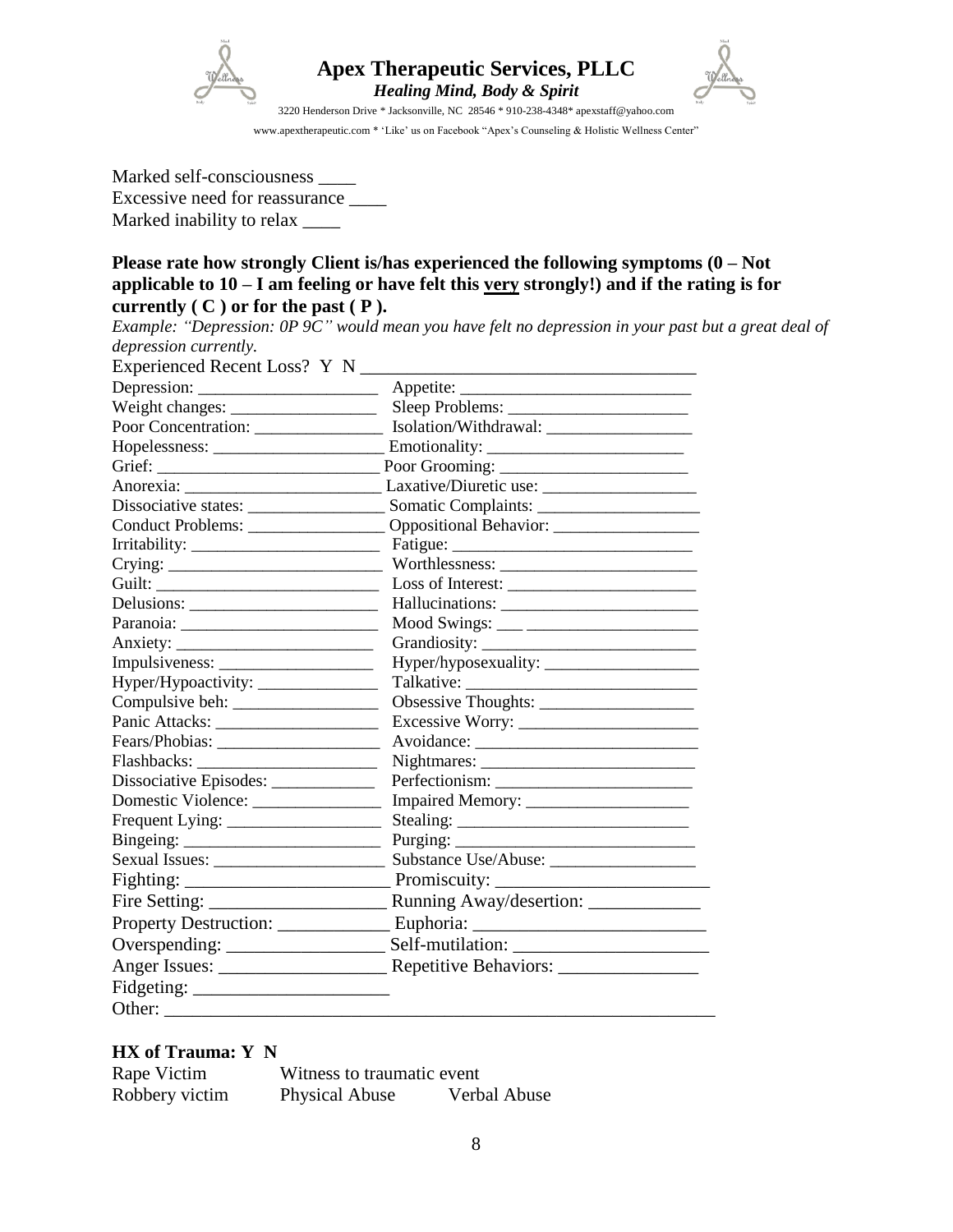



3220 Henderson Drive \* Jacksonville, NC 28546 \* 910-238-4348\* apexstaff@yahoo.com www.apextherapeutic.com \* 'Like' us on Facebook "Apex's Counseling & Holistic Wellness Center"

Marked self-consciousness \_\_\_\_ Excessive need for reassurance \_\_\_\_ Marked inability to relax \_\_\_\_

### **Please rate how strongly Client is/has experienced the following symptoms (0 – Not applicable to 10 – I am feeling or have felt this very strongly!) and if the rating is for**  currently  $(C)$  or for the past  $(P)$ .

*Example: "Depression: 0P 9C" would mean you have felt no depression in your past but a great deal of depression currently.*

| Experienced Recent Loss? Y N                                   |                                  |
|----------------------------------------------------------------|----------------------------------|
| Depression: $\frac{1}{\sqrt{1-\frac{1}{2}} \cdot \frac{1}{2}}$ |                                  |
|                                                                |                                  |
| Poor Concentration: _______________                            |                                  |
|                                                                |                                  |
|                                                                |                                  |
|                                                                | Anorexia: Laxative/Diuretic use: |
|                                                                |                                  |
|                                                                |                                  |
|                                                                |                                  |
|                                                                |                                  |
|                                                                |                                  |
| Delusions:                                                     | Hallucinations:                  |
|                                                                |                                  |
|                                                                |                                  |
|                                                                |                                  |
| Hyper/Hypoactivity: ______________                             |                                  |
|                                                                |                                  |
|                                                                |                                  |
|                                                                |                                  |
|                                                                |                                  |
| Dissociative Episodes: _____________                           |                                  |
|                                                                |                                  |
|                                                                |                                  |
|                                                                |                                  |
|                                                                |                                  |
|                                                                |                                  |
|                                                                |                                  |
|                                                                |                                  |
|                                                                |                                  |
|                                                                |                                  |
|                                                                |                                  |
| Other:                                                         |                                  |

#### **HX of Trauma: Y N**

| Rape Victim    | Witness to traumatic event |                     |
|----------------|----------------------------|---------------------|
| Robbery victim | <b>Physical Abuse</b>      | <b>Verbal Abuse</b> |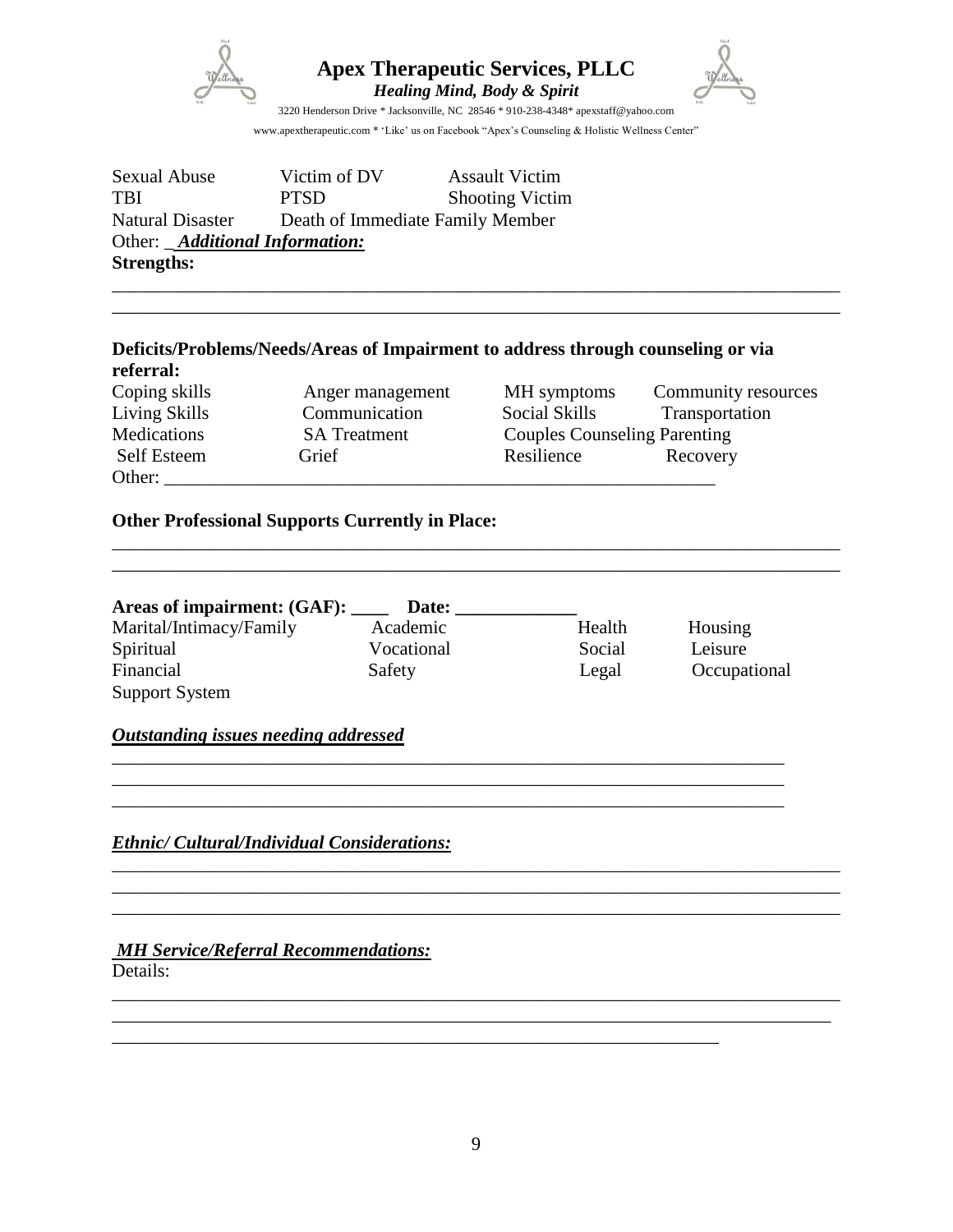

# **Apex Therapeutic Services, PLLC**



*Healing Mind, Body & Spirit* 3220 Henderson Drive \* Jacksonville, NC 28546 \* 910-238-4348\* apexstaff@yahoo.com

www.apextherapeutic.com \* 'Like' us on Facebook "Apex's Counseling & Holistic Wellness Center"

\_\_\_\_\_\_\_\_\_\_\_\_\_\_\_\_\_\_\_\_\_\_\_\_\_\_\_\_\_\_\_\_\_\_\_\_\_\_\_\_\_\_\_\_\_\_\_\_\_\_\_\_\_\_\_\_\_\_\_\_\_\_\_\_\_\_\_\_\_\_\_\_\_\_\_\_\_\_ \_\_\_\_\_\_\_\_\_\_\_\_\_\_\_\_\_\_\_\_\_\_\_\_\_\_\_\_\_\_\_\_\_\_\_\_\_\_\_\_\_\_\_\_\_\_\_\_\_\_\_\_\_\_\_\_\_\_\_\_\_\_\_\_\_\_\_\_\_\_\_\_\_\_\_\_\_\_

Sexual Abuse Victim of DV Assault Victim TBI PTSD Shooting Victim Natural Disaster Death of Immediate Family Member Other: \_ *Additional Information:* **Strengths:**

#### **Deficits/Problems/Needs/Areas of Impairment to address through counseling or via referral:**

Other:  $\Box$ 

Coping skills Anger management MH symptoms Community resources Living Skills Communication Social Skills Transportation Medications SA Treatment Couples Counseling Parenting Self Esteem Grief Resilience Recovery

### **Other Professional Supports Currently in Place:**

| Areas of impairment: (GAF): | Date:      |        |              |
|-----------------------------|------------|--------|--------------|
| Marital/Intimacy/Family     | Academic   | Health | Housing      |
| Spiritual                   | Vocational | Social | Leisure      |
| Financial                   | Safety     | Legal  | Occupational |
| <b>Support System</b>       |            |        |              |

\_\_\_\_\_\_\_\_\_\_\_\_\_\_\_\_\_\_\_\_\_\_\_\_\_\_\_\_\_\_\_\_\_\_\_\_\_\_\_\_\_\_\_\_\_\_\_\_\_\_\_\_\_\_\_\_\_\_\_\_\_\_\_\_\_\_\_\_\_\_\_\_ \_\_\_\_\_\_\_\_\_\_\_\_\_\_\_\_\_\_\_\_\_\_\_\_\_\_\_\_\_\_\_\_\_\_\_\_\_\_\_\_\_\_\_\_\_\_\_\_\_\_\_\_\_\_\_\_\_\_\_\_\_\_\_\_\_\_\_\_\_\_\_\_ \_\_\_\_\_\_\_\_\_\_\_\_\_\_\_\_\_\_\_\_\_\_\_\_\_\_\_\_\_\_\_\_\_\_\_\_\_\_\_\_\_\_\_\_\_\_\_\_\_\_\_\_\_\_\_\_\_\_\_\_\_\_\_\_\_\_\_\_\_\_\_\_

\_\_\_\_\_\_\_\_\_\_\_\_\_\_\_\_\_\_\_\_\_\_\_\_\_\_\_\_\_\_\_\_\_\_\_\_\_\_\_\_\_\_\_\_\_\_\_\_\_\_\_\_\_\_\_\_\_\_\_\_\_\_\_\_\_\_\_\_\_\_\_\_\_\_\_\_\_\_ \_\_\_\_\_\_\_\_\_\_\_\_\_\_\_\_\_\_\_\_\_\_\_\_\_\_\_\_\_\_\_\_\_\_\_\_\_\_\_\_\_\_\_\_\_\_\_\_\_\_\_\_\_\_\_\_\_\_\_\_\_\_\_\_\_\_\_\_\_\_\_\_\_\_\_\_\_\_ \_\_\_\_\_\_\_\_\_\_\_\_\_\_\_\_\_\_\_\_\_\_\_\_\_\_\_\_\_\_\_\_\_\_\_\_\_\_\_\_\_\_\_\_\_\_\_\_\_\_\_\_\_\_\_\_\_\_\_\_\_\_\_\_\_\_\_\_\_\_\_\_\_\_\_\_\_\_

\_\_\_\_\_\_\_\_\_\_\_\_\_\_\_\_\_\_\_\_\_\_\_\_\_\_\_\_\_\_\_\_\_\_\_\_\_\_\_\_\_\_\_\_\_\_\_\_\_\_\_\_\_\_\_\_\_\_\_\_\_\_\_\_\_\_\_\_\_\_\_\_\_\_\_\_\_\_ \_\_\_\_\_\_\_\_\_\_\_\_\_\_\_\_\_\_\_\_\_\_\_\_\_\_\_\_\_\_\_\_\_\_\_\_\_\_\_\_\_\_\_\_\_\_\_\_\_\_\_\_\_\_\_\_\_\_\_\_\_\_\_\_\_\_\_\_\_\_\_\_\_\_\_\_\_

\_\_\_\_\_\_\_\_\_\_\_\_\_\_\_\_\_\_\_\_\_\_\_\_\_\_\_\_\_\_\_\_\_\_\_\_\_\_\_\_\_\_\_\_\_\_\_\_\_\_\_\_\_\_\_\_\_\_\_\_\_\_\_\_\_

\_\_\_\_\_\_\_\_\_\_\_\_\_\_\_\_\_\_\_\_\_\_\_\_\_\_\_\_\_\_\_\_\_\_\_\_\_\_\_\_\_\_\_\_\_\_\_\_\_\_\_\_\_\_\_\_\_\_\_\_\_\_\_\_\_\_\_\_\_\_\_\_\_\_\_\_\_\_ \_\_\_\_\_\_\_\_\_\_\_\_\_\_\_\_\_\_\_\_\_\_\_\_\_\_\_\_\_\_\_\_\_\_\_\_\_\_\_\_\_\_\_\_\_\_\_\_\_\_\_\_\_\_\_\_\_\_\_\_\_\_\_\_\_\_\_\_\_\_\_\_\_\_\_\_\_\_

#### *Outstanding issues needing addressed*

*Ethnic/ Cultural/Individual Considerations:*

# *MH Service/Referral Recommendations:*

Details: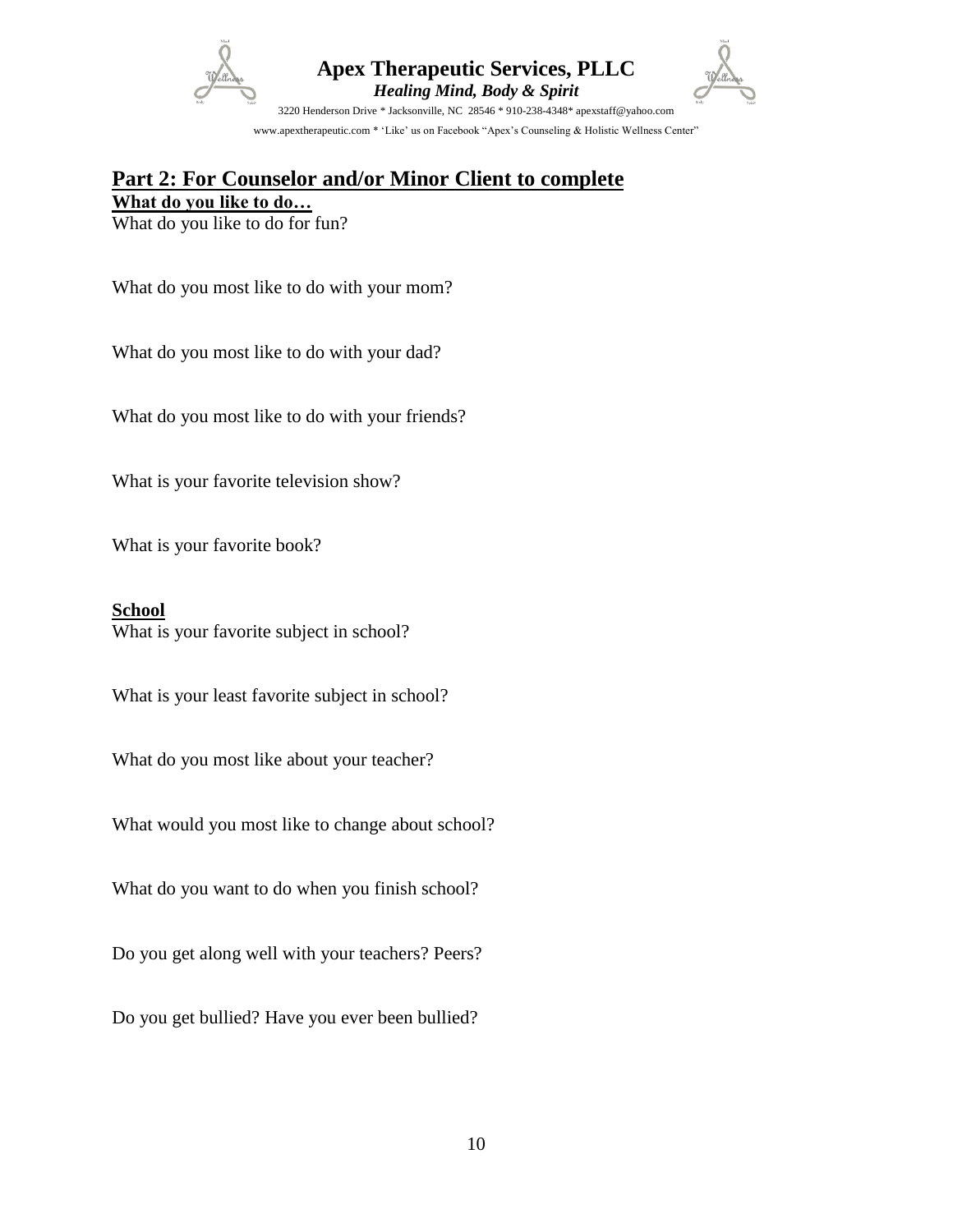



3220 Henderson Drive \* Jacksonville, NC 28546 \* 910-238-4348\* apexstaff@yahoo.com www.apextherapeutic.com \* 'Like' us on Facebook "Apex's Counseling & Holistic Wellness Center"

## **Part 2: For Counselor and/or Minor Client to complete**

**What do you like to do…**

What do you like to do for fun?

What do you most like to do with your mom?

What do you most like to do with your dad?

What do you most like to do with your friends?

What is your favorite television show?

What is your favorite book?

**School**

What is your favorite subject in school?

What is your least favorite subject in school?

What do you most like about your teacher?

What would you most like to change about school?

What do you want to do when you finish school?

Do you get along well with your teachers? Peers?

Do you get bullied? Have you ever been bullied?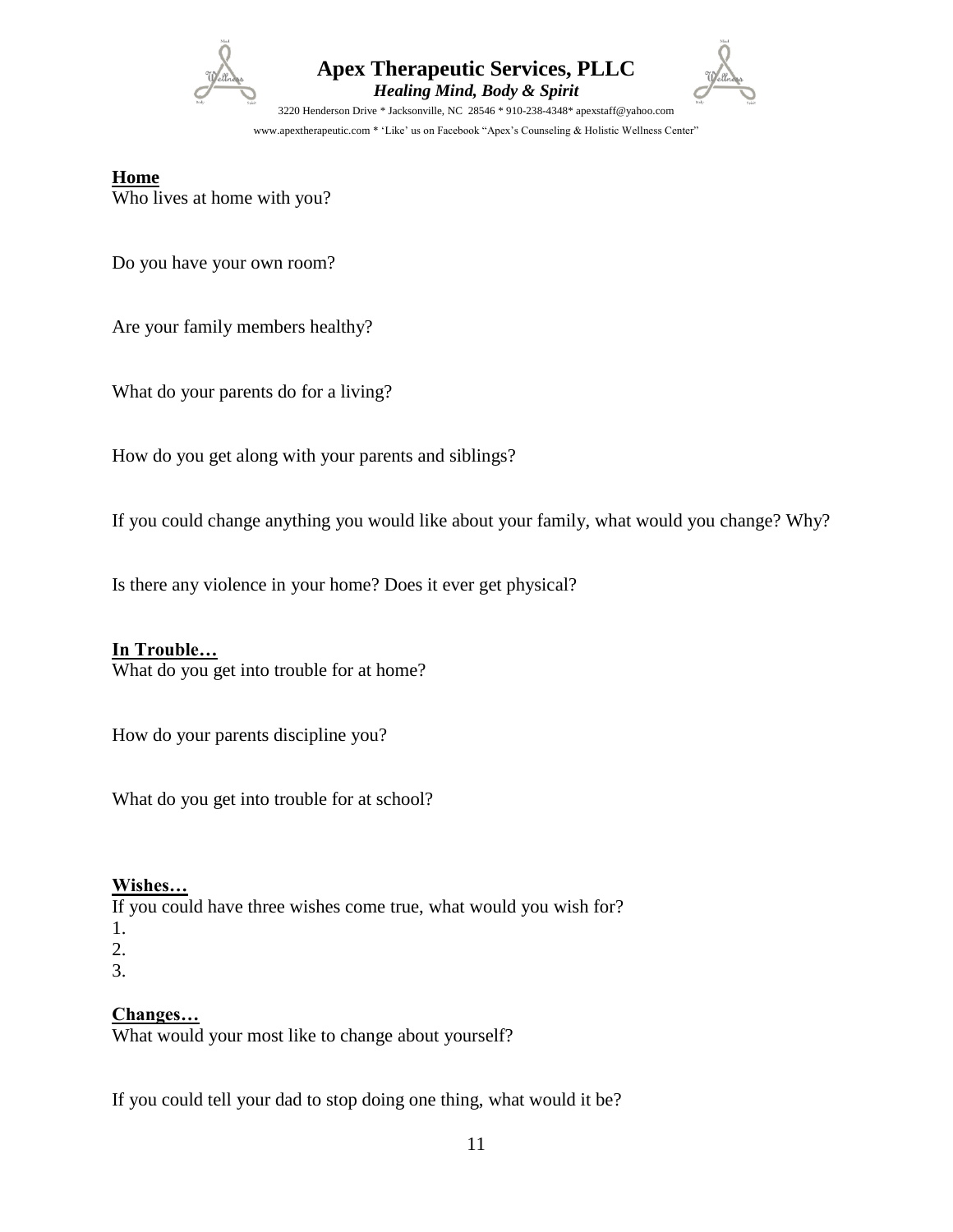



3220 Henderson Drive \* Jacksonville, NC 28546 \* 910-238-4348\* apexstaff@yahoo.com www.apextherapeutic.com \* 'Like' us on Facebook "Apex's Counseling & Holistic Wellness Center"

### **Home**

Who lives at home with you?

Do you have your own room?

Are your family members healthy?

What do your parents do for a living?

How do you get along with your parents and siblings?

If you could change anything you would like about your family, what would you change? Why?

Is there any violence in your home? Does it ever get physical?

### **In Trouble…**

What do you get into trouble for at home?

How do your parents discipline you?

What do you get into trouble for at school?

### **Wishes…**

If you could have three wishes come true, what would you wish for? 1. 2. 3.

### **Changes…**

What would your most like to change about yourself?

If you could tell your dad to stop doing one thing, what would it be?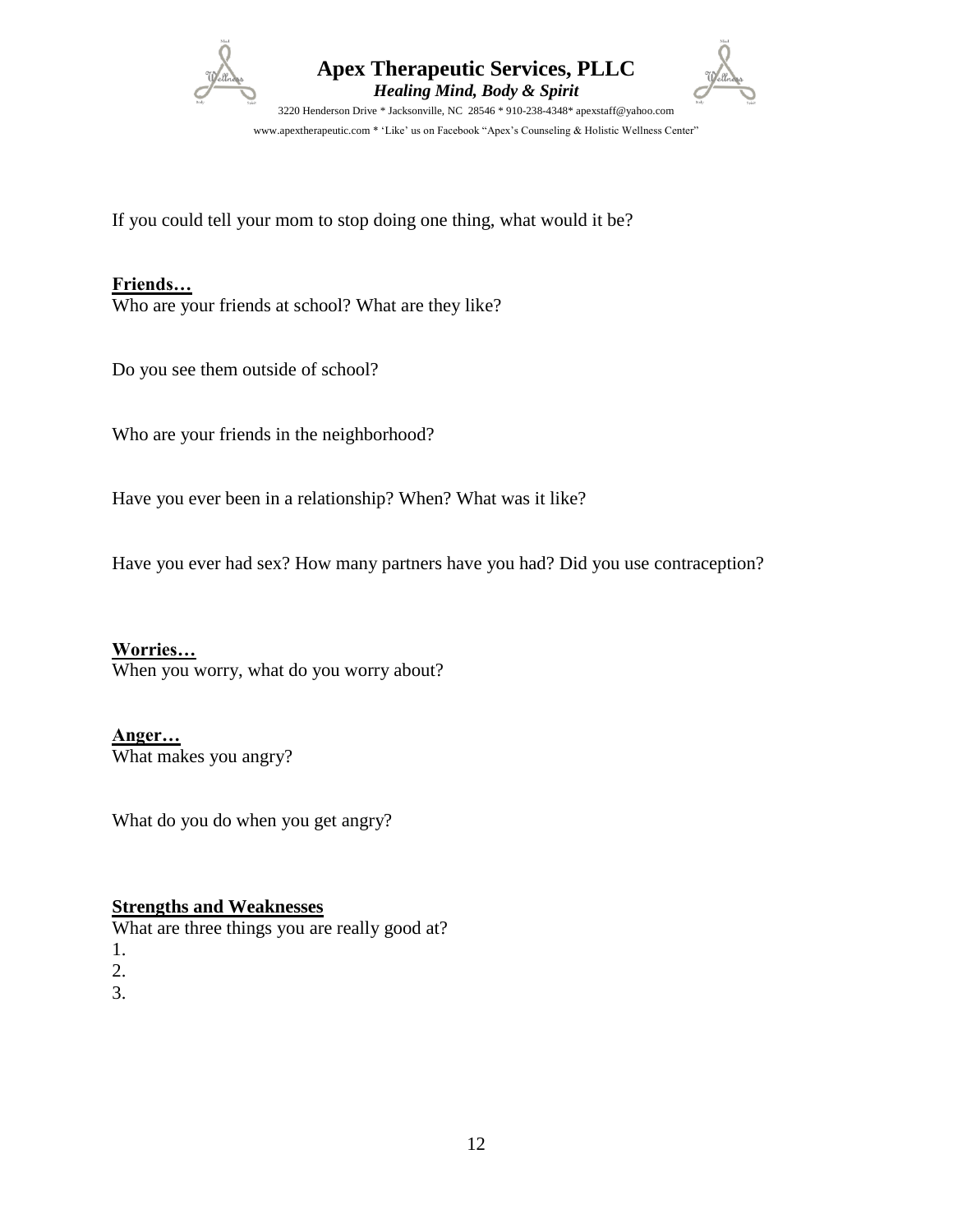



3220 Henderson Drive \* Jacksonville, NC 28546 \* 910-238-4348\* apexstaff@yahoo.com www.apextherapeutic.com \* 'Like' us on Facebook "Apex's Counseling & Holistic Wellness Center"

If you could tell your mom to stop doing one thing, what would it be?

### **Friends…**

Who are your friends at school? What are they like?

Do you see them outside of school?

Who are your friends in the neighborhood?

Have you ever been in a relationship? When? What was it like?

Have you ever had sex? How many partners have you had? Did you use contraception?

**Worries…** When you worry, what do you worry about?

### **Anger…**

What makes you angry?

What do you do when you get angry?

## **Strengths and Weaknesses**

What are three things you are really good at?

- 1.
- 2.
- 3.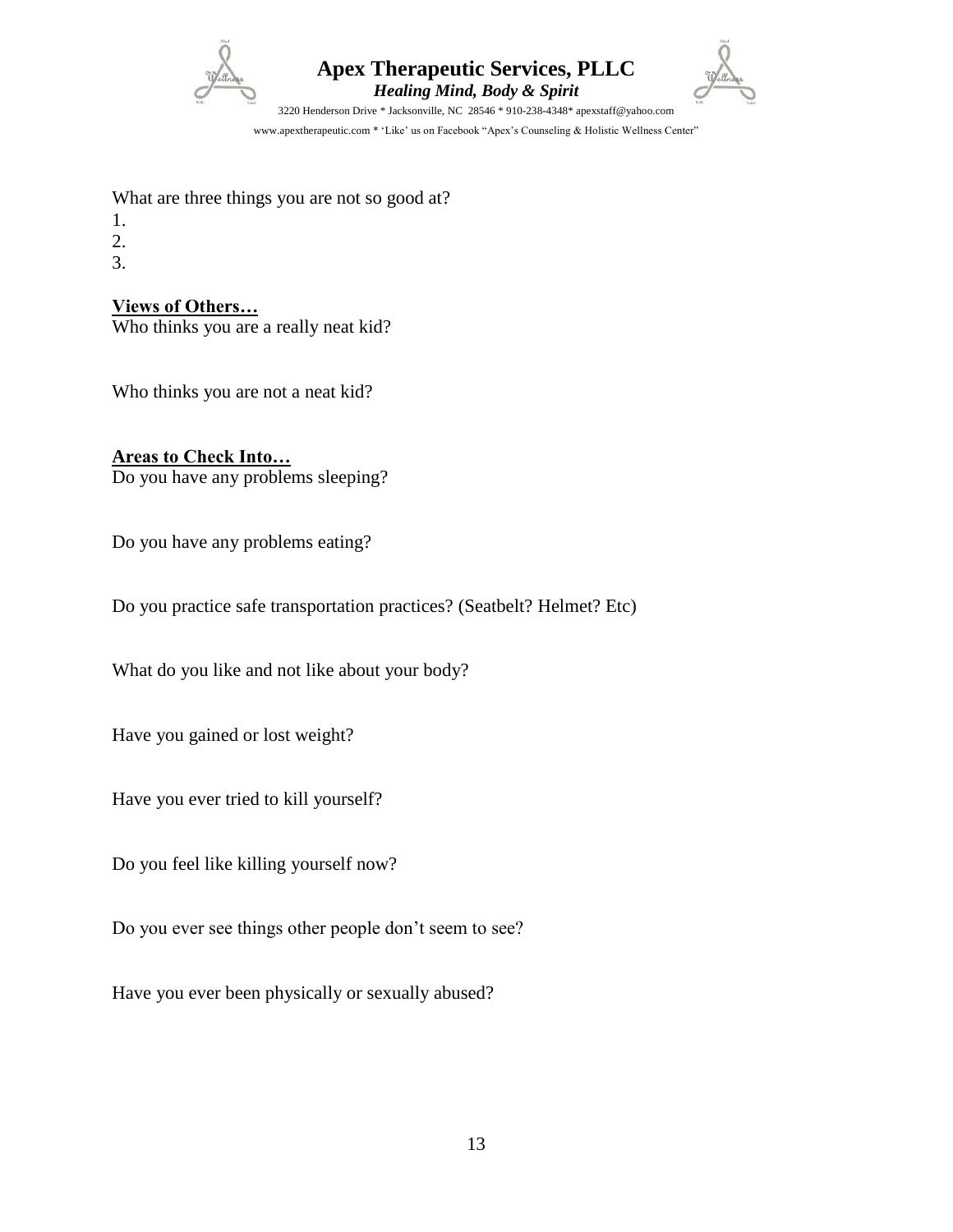



3220 Henderson Drive \* Jacksonville, NC 28546 \* 910-238-4348\* apexstaff@yahoo.com www.apextherapeutic.com \* 'Like' us on Facebook "Apex's Counseling & Holistic Wellness Center"

What are three things you are not so good at?

- 1.
- 2.
- 3.
- 

**Views of Others…** Who thinks you are a really neat kid?

Who thinks you are not a neat kid?

## **Areas to Check Into…**

Do you have any problems sleeping?

Do you have any problems eating?

Do you practice safe transportation practices? (Seatbelt? Helmet? Etc)

What do you like and not like about your body?

Have you gained or lost weight?

Have you ever tried to kill yourself?

Do you feel like killing yourself now?

Do you ever see things other people don't seem to see?

Have you ever been physically or sexually abused?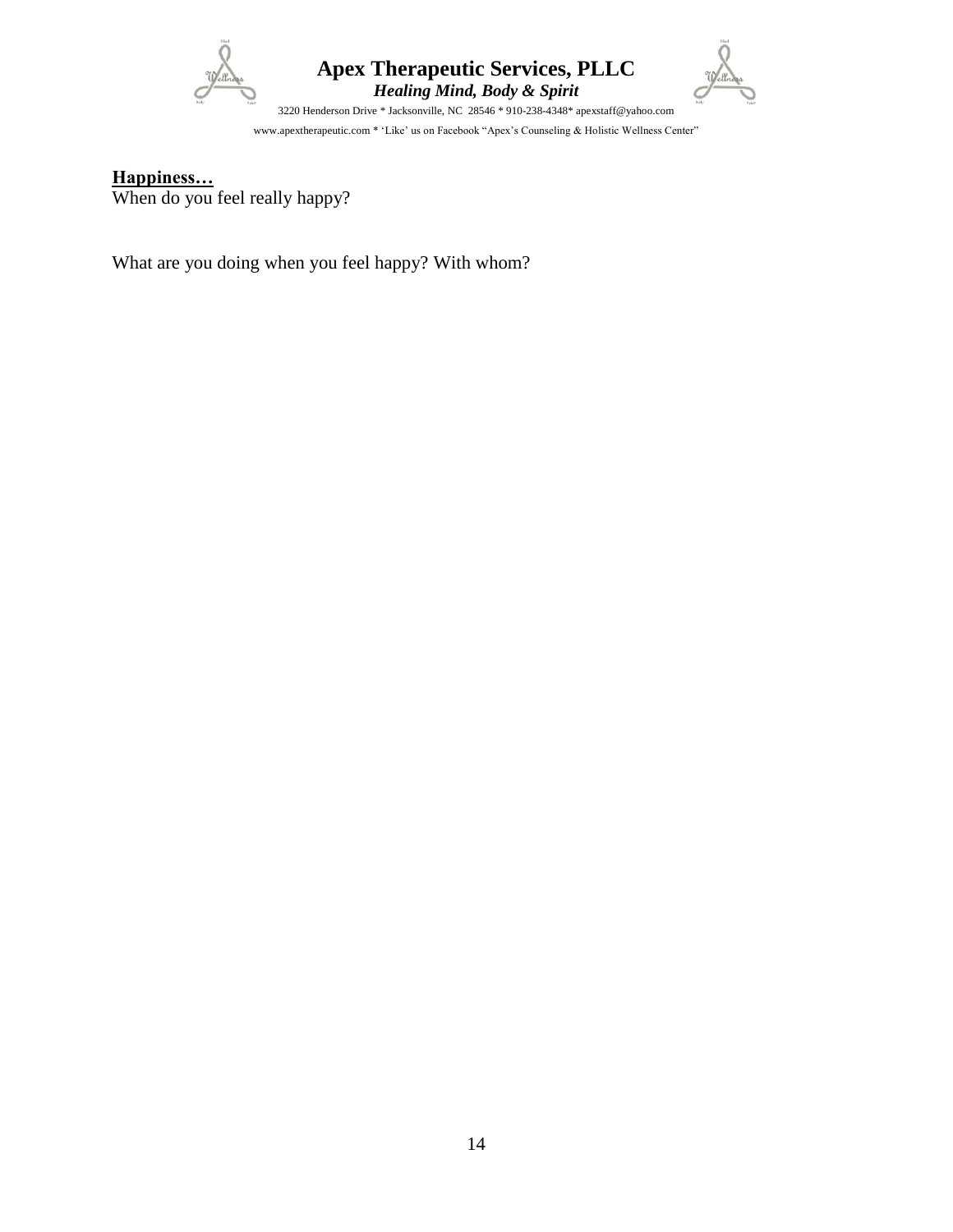



3220 Henderson Drive \* Jacksonville, NC 28546 \* 910-238-4348\* apexstaff@yahoo.com www.apextherapeutic.com \* 'Like' us on Facebook "Apex's Counseling & Holistic Wellness Center"

### **Happiness…**

When do you feel really happy?

What are you doing when you feel happy? With whom?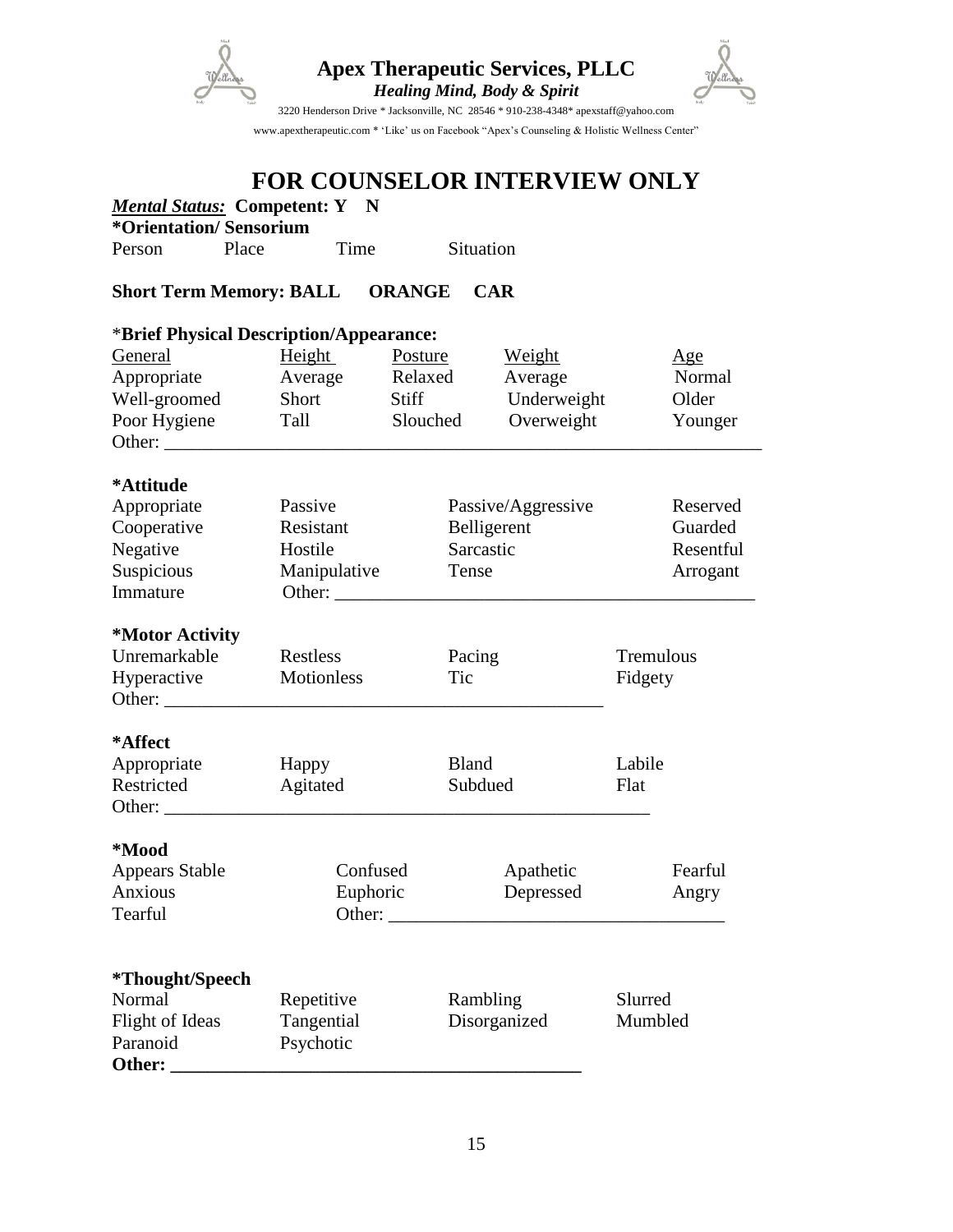



3220 Henderson Drive \* Jacksonville, NC 28546 \* 910-238-4348\* apexstaff@yahoo.com www.apextherapeutic.com \* 'Like' us on Facebook "Apex's Counseling & Holistic Wellness Center"

## **FOR COUNSELOR INTERVIEW ONLY**

|                               | <b>Mental Status: Competent: Y</b> | $\mathbf N$ |
|-------------------------------|------------------------------------|-------------|
| <i>*Orientation/Sensorium</i> |                                    |             |

Person Place Time Situation

### **Short Term Memory: BALL ORANGE CAR**

### \***Brief Physical Description/Appearance:**

| <b>General</b>         | <b>Height</b> | Posture  | Weight             | Age       |
|------------------------|---------------|----------|--------------------|-----------|
| Appropriate            | Average       | Relaxed  | Average            | Normal    |
| Well-groomed           | Short         | Stiff    | Underweight        | Older     |
| Poor Hygiene           | Tall          | Slouched | Overweight         | Younger   |
|                        |               |          |                    |           |
|                        |               |          |                    |           |
| *Attitude              |               |          |                    |           |
| Appropriate            | Passive       |          | Passive/Aggressive | Reserved  |
| Cooperative            | Resistant     |          | Belligerent        | Guarded   |
| Negative               | Hostile       |          | Sarcastic          | Resentful |
| Suspicious             | Manipulative  |          | Tense              | Arrogant  |
| Immature               | Other:        |          |                    |           |
|                        |               |          |                    |           |
| *Motor Activity        |               |          |                    |           |
| Unremarkable           | Restless      |          | Pacing             | Tremulous |
| Hyperactive            | Motionless    |          | Tic                | Fidgety   |
| Other:                 |               |          |                    |           |
|                        |               |          |                    |           |
| *Affect                |               |          |                    |           |
| Appropriate            | Happy         |          | <b>Bland</b>       | Labile    |
| Restricted             | Agitated      |          | Subdued            | Flat      |
| Other:                 |               |          |                    |           |
|                        |               |          |                    |           |
| *Mood                  |               |          |                    |           |
| <b>Appears Stable</b>  | Confused      |          | Apathetic          | Fearful   |
| Anxious                | Euphoric      |          | Depressed          | Angry     |
| Tearful                |               |          |                    |           |
|                        |               |          |                    |           |
|                        |               |          |                    |           |
| <i>*Thought/Speech</i> |               |          |                    |           |
| Normal                 | Repetitive    |          | Rambling           | Slurred   |
| Flight of Ideas        | Tangential    |          | Disorganized       | Mumbled   |
| Paranoid               | Psychotic     |          |                    |           |
| Other: $\qquad \qquad$ |               |          |                    |           |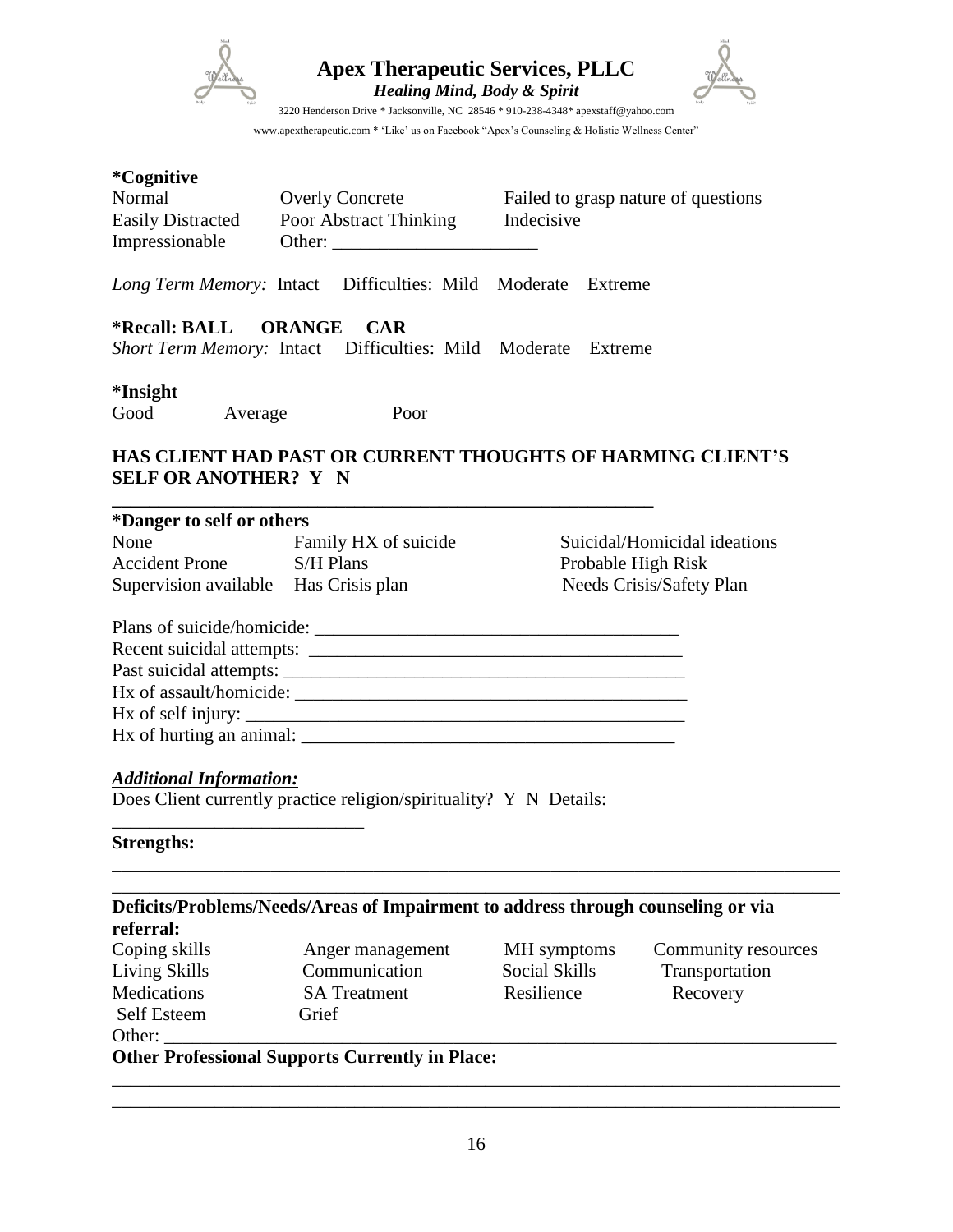



3220 Henderson Drive \* Jacksonville, NC 28546 \* 910-238-4348\* apexstaff@yahoo.com www.apextherapeutic.com \* 'Like' us on Facebook "Apex's Counseling & Holistic Wellness Center"

### **\*Cognitive**

| Normal                   | <b>Overly Concrete</b> | Failed to grasp nature of questions |
|--------------------------|------------------------|-------------------------------------|
| <b>Easily Distracted</b> | Poor Abstract Thinking | Indecisive                          |
| Impressionable           | Other:                 |                                     |

*Long Term Memory:* Intact Difficulties: Mild Moderate Extreme

### **\*Recall: BALL ORANGE CAR**

*Short Term Memory:* Intact Difficulties: Mild Moderate Extreme

### **\*Insight**

Good Average Poor

### **HAS CLIENT HAD PAST OR CURRENT THOUGHTS OF HARMING CLIENT'S SELF OR ANOTHER? Y N**

#### **\_\_\_\_\_\_\_\_\_\_\_\_\_\_\_\_\_\_\_\_\_\_\_\_\_\_\_\_\_\_\_\_\_\_\_\_\_\_\_\_\_\_\_\_\_\_\_\_\_\_\_\_\_\_\_\_\_\_ \*Danger to self or others**

| None                                  | Family HX of suicid |
|---------------------------------------|---------------------|
| <b>Accident Prone</b>                 | S/H Plans           |
| Supervision available Has Crisis plan |                     |

de Suicidal/Homicidal ideations Probable High Risk Needs Crisis/Safety Plan

| Plans of suicide/homicide:                                             |                           |
|------------------------------------------------------------------------|---------------------------|
|                                                                        | Recent suicidal attempts: |
| Past suicidal attempts:                                                |                           |
| Hx of assault/homicide:                                                |                           |
| $Hx$ of self injury: $\frac{1}{2}$ interval in the set of self injury: |                           |
| Hx of hurting an animal:                                               |                           |

### *Additional Information:*

\_\_\_\_\_\_\_\_\_\_\_\_\_\_\_\_\_\_\_\_\_\_\_\_\_\_\_

Does Client currently practice religion/spirituality? Y N Details:

#### **Strengths:**

| referral:          | Deficits/Problems/Needs/Areas of Impairment to address through counseling or via |               |                     |
|--------------------|----------------------------------------------------------------------------------|---------------|---------------------|
| Coping skills      | Anger management                                                                 | MH symptoms   | Community resources |
| Living Skills      | Communication                                                                    | Social Skills | Transportation      |
| <b>Medications</b> | <b>SA</b> Treatment                                                              | Resilience    | Recovery            |
| <b>Self Esteem</b> | Grief                                                                            |               |                     |
| Other:             |                                                                                  |               |                     |

\_\_\_\_\_\_\_\_\_\_\_\_\_\_\_\_\_\_\_\_\_\_\_\_\_\_\_\_\_\_\_\_\_\_\_\_\_\_\_\_\_\_\_\_\_\_\_\_\_\_\_\_\_\_\_\_\_\_\_\_\_\_\_\_\_\_\_\_\_\_\_\_\_\_\_\_\_\_

\_\_\_\_\_\_\_\_\_\_\_\_\_\_\_\_\_\_\_\_\_\_\_\_\_\_\_\_\_\_\_\_\_\_\_\_\_\_\_\_\_\_\_\_\_\_\_\_\_\_\_\_\_\_\_\_\_\_\_\_\_\_\_\_\_\_\_\_\_\_\_\_\_\_\_\_\_\_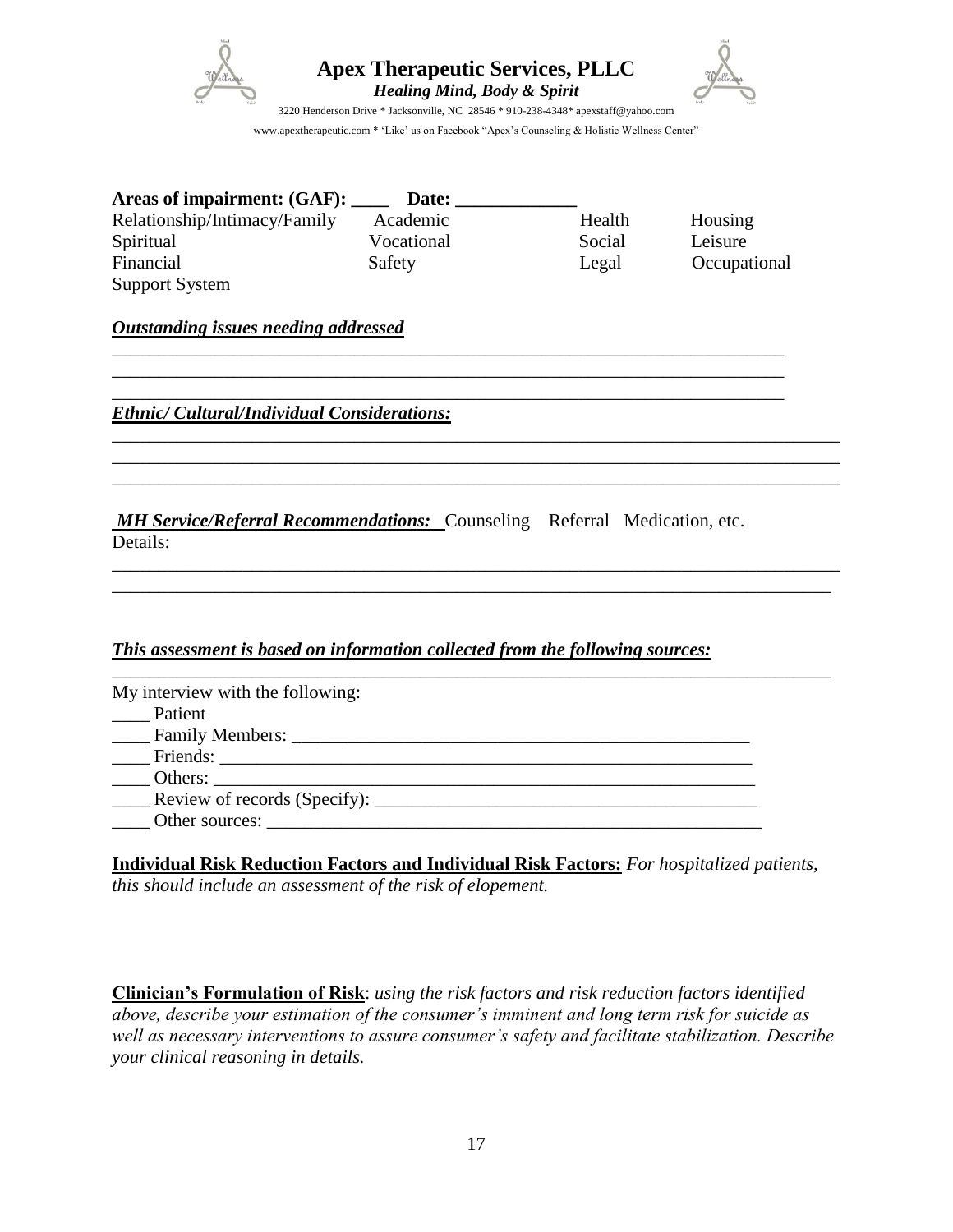



3220 Henderson Drive \* Jacksonville, NC 28546 \* 910-238-4348\* apexstaff@yahoo.com www.apextherapeutic.com \* 'Like' us on Facebook "Apex's Counseling & Holistic Wellness Center"

Areas of impairment: (GAF): Date: Relationship/Intimacy/Family Academic Health Housing Spiritual Vocational Social Leisure Financial Safety Safety Legal Occupational Support System

\_\_\_\_\_\_\_\_\_\_\_\_\_\_\_\_\_\_\_\_\_\_\_\_\_\_\_\_\_\_\_\_\_\_\_\_\_\_\_\_\_\_\_\_\_\_\_\_\_\_\_\_\_\_\_\_\_\_\_\_\_\_\_\_\_\_\_\_\_\_\_\_ \_\_\_\_\_\_\_\_\_\_\_\_\_\_\_\_\_\_\_\_\_\_\_\_\_\_\_\_\_\_\_\_\_\_\_\_\_\_\_\_\_\_\_\_\_\_\_\_\_\_\_\_\_\_\_\_\_\_\_\_\_\_\_\_\_\_\_\_\_\_\_\_ \_\_\_\_\_\_\_\_\_\_\_\_\_\_\_\_\_\_\_\_\_\_\_\_\_\_\_\_\_\_\_\_\_\_\_\_\_\_\_\_\_\_\_\_\_\_\_\_\_\_\_\_\_\_\_\_\_\_\_\_\_\_\_\_\_\_\_\_\_\_\_\_

\_\_\_\_\_\_\_\_\_\_\_\_\_\_\_\_\_\_\_\_\_\_\_\_\_\_\_\_\_\_\_\_\_\_\_\_\_\_\_\_\_\_\_\_\_\_\_\_\_\_\_\_\_\_\_\_\_\_\_\_\_\_\_\_\_\_\_\_\_\_\_\_\_\_\_\_\_\_ \_\_\_\_\_\_\_\_\_\_\_\_\_\_\_\_\_\_\_\_\_\_\_\_\_\_\_\_\_\_\_\_\_\_\_\_\_\_\_\_\_\_\_\_\_\_\_\_\_\_\_\_\_\_\_\_\_\_\_\_\_\_\_\_\_\_\_\_\_\_\_\_\_\_\_\_\_\_ \_\_\_\_\_\_\_\_\_\_\_\_\_\_\_\_\_\_\_\_\_\_\_\_\_\_\_\_\_\_\_\_\_\_\_\_\_\_\_\_\_\_\_\_\_\_\_\_\_\_\_\_\_\_\_\_\_\_\_\_\_\_\_\_\_\_\_\_\_\_\_\_\_\_\_\_\_\_

\_\_\_\_\_\_\_\_\_\_\_\_\_\_\_\_\_\_\_\_\_\_\_\_\_\_\_\_\_\_\_\_\_\_\_\_\_\_\_\_\_\_\_\_\_\_\_\_\_\_\_\_\_\_\_\_\_\_\_\_\_\_\_\_\_\_\_\_\_\_\_\_\_\_\_\_\_\_ \_\_\_\_\_\_\_\_\_\_\_\_\_\_\_\_\_\_\_\_\_\_\_\_\_\_\_\_\_\_\_\_\_\_\_\_\_\_\_\_\_\_\_\_\_\_\_\_\_\_\_\_\_\_\_\_\_\_\_\_\_\_\_\_\_\_\_\_\_\_\_\_\_\_\_\_\_

### *Outstanding issues needing addressed*

*Ethnic/ Cultural/Individual Considerations:*

*MH Service/Referral Recommendations:* Counseling Referral Medication, etc. Details:

### *This assessment is based on information collected from the following sources:*

| My interview with the following: |  |
|----------------------------------|--|
| Patient                          |  |
|                                  |  |
|                                  |  |
|                                  |  |
|                                  |  |
| Other sources:                   |  |

**Individual Risk Reduction Factors and Individual Risk Factors:** *For hospitalized patients, this should include an assessment of the risk of elopement.*

**Clinician's Formulation of Risk**: *using the risk factors and risk reduction factors identified above, describe your estimation of the consumer's imminent and long term risk for suicide as well as necessary interventions to assure consumer's safety and facilitate stabilization. Describe your clinical reasoning in details.*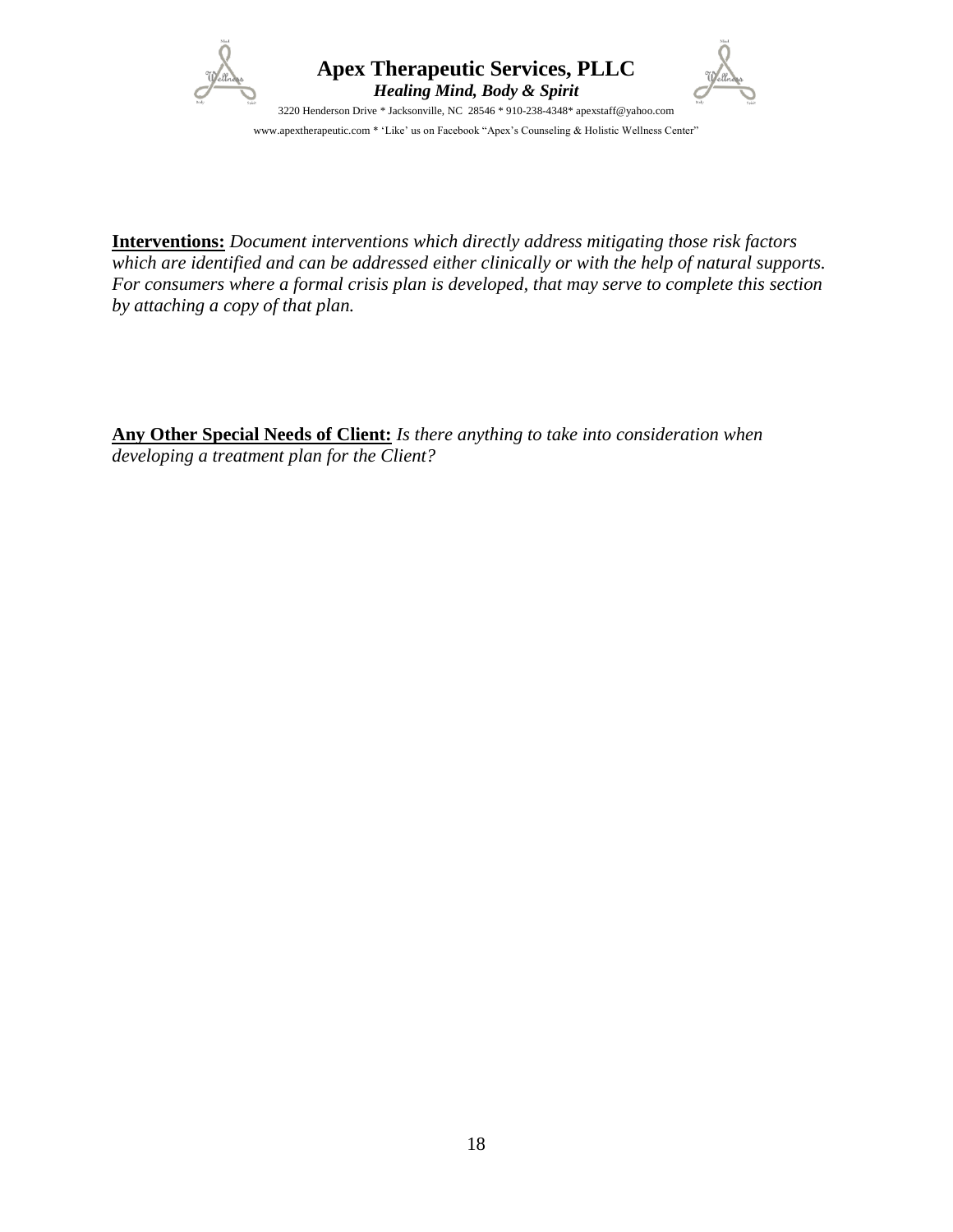



3220 Henderson Drive \* Jacksonville, NC 28546 \* 910-238-4348\* apexstaff@yahoo.com www.apextherapeutic.com \* 'Like' us on Facebook "Apex's Counseling & Holistic Wellness Center"

**Interventions:** *Document interventions which directly address mitigating those risk factors which are identified and can be addressed either clinically or with the help of natural supports. For consumers where a formal crisis plan is developed, that may serve to complete this section by attaching a copy of that plan.*

**Any Other Special Needs of Client:** *Is there anything to take into consideration when developing a treatment plan for the Client?*